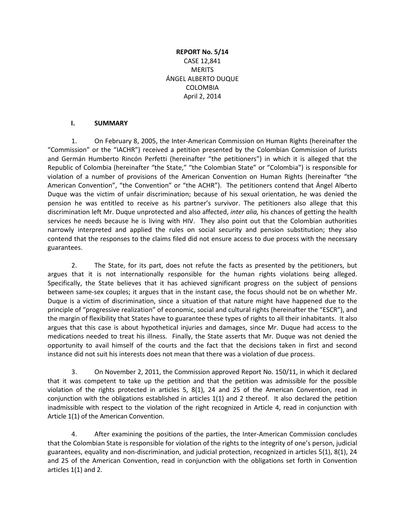# **REPORT No. 5/14** CASE 12,841 **MERITS** ÁNGEL ALBERTO DUQUE COLOMBIA April 2, 2014

#### **I. SUMMARY**

1. On February 8, 2005, the Inter-American Commission on Human Rights (hereinafter the "Commission" or the "IACHR") received a petition presented by the Colombian Commission of Jurists and Germán Humberto Rincón Perfetti (hereinafter "the petitioners") in which it is alleged that the Republic of Colombia (hereinafter "the State," "the Colombian State" or "Colombia") is responsible for violation of a number of provisions of the American Convention on Human Rights (hereinafter "the American Convention", "the Convention" or "the ACHR"). The petitioners contend that Ángel Alberto Duque was the victim of unfair discrimination; because of his sexual orientation, he was denied the pension he was entitled to receive as his partner's survivor. The petitioners also allege that this discrimination left Mr. Duque unprotected and also affected, *inter alia,* his chances of getting the health services he needs because he is living with HIV. They also point out that the Colombian authorities narrowly interpreted and applied the rules on social security and pension substitution; they also contend that the responses to the claims filed did not ensure access to due process with the necessary guarantees.

2. The State, for its part, does not refute the facts as presented by the petitioners, but argues that it is not internationally responsible for the human rights violations being alleged. Specifically, the State believes that it has achieved significant progress on the subject of pensions between same-sex couples; it argues that in the instant case, the focus should not be on whether Mr. Duque is a victim of discrimination, since a situation of that nature might have happened due to the principle of "progressive realization" of economic, social and cultural rights (hereinafter the "ESCR"), and the margin of flexibility that States have to guarantee these types of rights to all their inhabitants. It also argues that this case is about hypothetical injuries and damages, since Mr. Duque had access to the medications needed to treat his illness. Finally, the State asserts that Mr. Duque was not denied the opportunity to avail himself of the courts and the fact that the decisions taken in first and second instance did not suit his interests does not mean that there was a violation of due process.

3. On November 2, 2011, the Commission approved Report No. 150/11, in which it declared that it was competent to take up the petition and that the petition was admissible for the possible violation of the rights protected in articles 5, 8(1), 24 and 25 of the American Convention, read in conjunction with the obligations established in articles 1(1) and 2 thereof. It also declared the petition inadmissible with respect to the violation of the right recognized in Article 4, read in conjunction with Article 1(1) of the American Convention.

4. After examining the positions of the parties, the Inter-American Commission concludes that the Colombian State is responsible for violation of the rights to the integrity of one's person, judicial guarantees, equality and non-discrimination, and judicial protection, recognized in articles 5(1), 8(1), 24 and 25 of the American Convention, read in conjunction with the obligations set forth in Convention articles 1(1) and 2.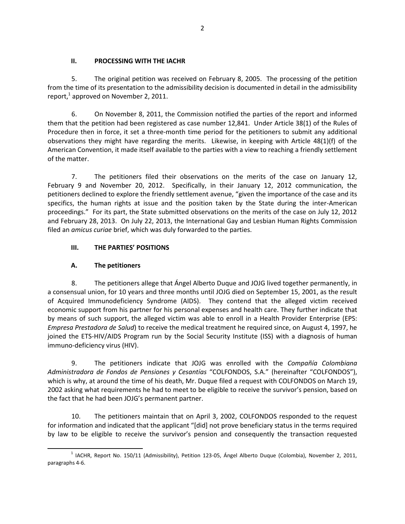### **II. PROCESSING WITH THE IACHR**

5. The original petition was received on February 8, 2005. The processing of the petition from the time of its presentation to the admissibility decision is documented in detail in the admissibility report, $^1$  approved on November 2, 2011.

6. On November 8, 2011, the Commission notified the parties of the report and informed them that the petition had been registered as case number 12,841. Under Article 38(1) of the Rules of Procedure then in force, it set a three-month time period for the petitioners to submit any additional observations they might have regarding the merits. Likewise, in keeping with Article 48(1)(f) of the American Convention, it made itself available to the parties with a view to reaching a friendly settlement of the matter.

7. The petitioners filed their observations on the merits of the case on January 12, February 9 and November 20, 2012. Specifically, in their January 12, 2012 communication, the petitioners declined to explore the friendly settlement avenue, "given the importance of the case and its specifics, the human rights at issue and the position taken by the State during the inter-American proceedings." For its part, the State submitted observations on the merits of the case on July 12, 2012 and February 28, 2013. On July 22, 2013, the International Gay and Lesbian Human Rights Commission filed an *amicus curiae* brief, which was duly forwarded to the parties.

# **III. THE PARTIES' POSITIONS**

# **A. The petitioners**

8. The petitioners allege that Ángel Alberto Duque and JOJG lived together permanently, in a consensual union, for 10 years and three months until JOJG died on September 15, 2001, as the result of Acquired Immunodeficiency Syndrome (AIDS). They contend that the alleged victim received economic support from his partner for his personal expenses and health care. They further indicate that by means of such support, the alleged victim was able to enroll in a Health Provider Enterprise (EPS: *Empresa Prestadora de Salud*) to receive the medical treatment he required since, on August 4, 1997, he joined the ETS-HIV/AIDS Program run by the Social Security Institute (ISS) with a diagnosis of human immuno-deficiency virus (HIV).

9. The petitioners indicate that JOJG was enrolled with the *Compañía Colombiana Administradora de Fondos de Pensiones y Cesantías* "COLFONDOS, S.A." (hereinafter "COLFONDOS"), which is why, at around the time of his death, Mr. Duque filed a request with COLFONDOS on March 19, 2002 asking what requirements he had to meet to be eligible to receive the survivor's pension, based on the fact that he had been JOJG's permanent partner.

10. The petitioners maintain that on April 3, 2002, COLFONDOS responded to the request for information and indicated that the applicant "[did] not prove beneficiary status in the terms required by law to be eligible to receive the survivor's pension and consequently the transaction requested

 $\overline{a}$  $^1$  IACHR, Report No. 150/11 (Admissibility), Petition 123-05, Ángel Alberto Duque (Colombia), November 2, 2011, paragraphs 4-6.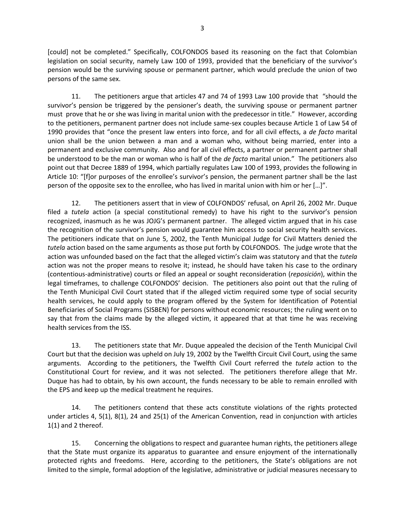[could] not be completed." Specifically, COLFONDOS based its reasoning on the fact that Colombian legislation on social security, namely Law 100 of 1993, provided that the beneficiary of the survivor's pension would be the surviving spouse or permanent partner, which would preclude the union of two persons of the same sex.

11. The petitioners argue that articles 47 and 74 of 1993 Law 100 provide that "should the survivor's pension be triggered by the pensioner's death, the surviving spouse or permanent partner must prove that he or she was living in marital union with the predecessor in title." However, according to the petitioners, permanent partner does not include same-sex couples because Article 1 of Law 54 of 1990 provides that "once the present law enters into force, and for all civil effects, a *de facto* marital union shall be the union between a man and a woman who, without being married, enter into a permanent and exclusive community. Also and for all civil effects, a partner or permanent partner shall be understood to be the man or woman who is half of the *de facto* marital union." The petitioners also point out that Decree 1889 of 1994, which partially regulates Law 100 of 1993, provides the following in Article 10: "[f]or purposes of the enrollee's survivor's pension, the permanent partner shall be the last person of the opposite sex to the enrollee, who has lived in marital union with him or her […]".

12. The petitioners assert that in view of COLFONDOS' refusal, on April 26, 2002 Mr. Duque filed a *tutela* action (a special constitutional remedy) to have his right to the survivor's pension recognized, inasmuch as he was JOJG's permanent partner. The alleged victim argued that in his case the recognition of the survivor's pension would guarantee him access to social security health services. The petitioners indicate that on June 5, 2002, the Tenth Municipal Judge for Civil Matters denied the *tutela* action based on the same arguments as those put forth by COLFONDOS. The judge wrote that the action was unfounded based on the fact that the alleged victim's claim was statutory and that the *tutela* action was not the proper means to resolve it; instead, he should have taken his case to the ordinary (contentious-administrative) courts or filed an appeal or sought reconsideration (*reposición*), within the legal timeframes, to challenge COLFONDOS' decision. The petitioners also point out that the ruling of the Tenth Municipal Civil Court stated that if the alleged victim required some type of social security health services, he could apply to the program offered by the System for Identification of Potential Beneficiaries of Social Programs (SISBEN) for persons without economic resources; the ruling went on to say that from the claims made by the alleged victim, it appeared that at that time he was receiving health services from the ISS.

13. The petitioners state that Mr. Duque appealed the decision of the Tenth Municipal Civil Court but that the decision was upheld on July 19, 2002 by the Twelfth Circuit Civil Court, using the same arguments. According to the petitioners, the Twelfth Civil Court referred the *tutela* action to the Constitutional Court for review, and it was not selected. The petitioners therefore allege that Mr. Duque has had to obtain, by his own account, the funds necessary to be able to remain enrolled with the EPS and keep up the medical treatment he requires.

14. The petitioners contend that these acts constitute violations of the rights protected under articles 4, 5(1), 8(1), 24 and 25(1) of the American Convention, read in conjunction with articles 1(1) and 2 thereof.

15. Concerning the obligations to respect and guarantee human rights, the petitioners allege that the State must organize its apparatus to guarantee and ensure enjoyment of the internationally protected rights and freedoms. Here, according to the petitioners, the State's obligations are not limited to the simple, formal adoption of the legislative, administrative or judicial measures necessary to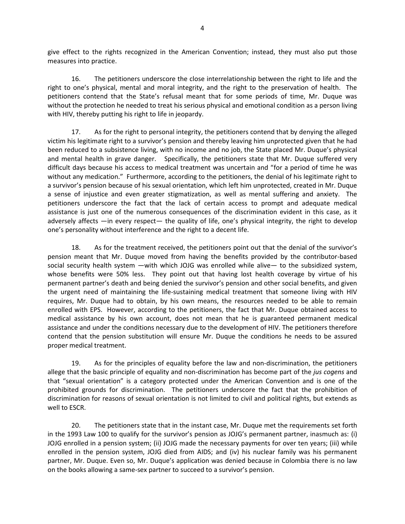give effect to the rights recognized in the American Convention; instead, they must also put those measures into practice.

16. The petitioners underscore the close interrelationship between the right to life and the right to one's physical, mental and moral integrity, and the right to the preservation of health. The petitioners contend that the State's refusal meant that for some periods of time, Mr. Duque was without the protection he needed to treat his serious physical and emotional condition as a person living with HIV, thereby putting his right to life in jeopardy.

17. As for the right to personal integrity, the petitioners contend that by denying the alleged victim his legitimate right to a survivor's pension and thereby leaving him unprotected given that he had been reduced to a subsistence living, with no income and no job, the State placed Mr. Duque's physical and mental health in grave danger. Specifically, the petitioners state that Mr. Duque suffered very difficult days because his access to medical treatment was uncertain and "for a period of time he was without any medication." Furthermore, according to the petitioners, the denial of his legitimate right to a survivor's pension because of his sexual orientation, which left him unprotected, created in Mr. Duque a sense of injustice and even greater stigmatization, as well as mental suffering and anxiety. The petitioners underscore the fact that the lack of certain access to prompt and adequate medical assistance is just one of the numerous consequences of the discrimination evident in this case, as it adversely affects —in every respect— the quality of life, one's physical integrity, the right to develop one's personality without interference and the right to a decent life.

18. As for the treatment received, the petitioners point out that the denial of the survivor's pension meant that Mr. Duque moved from having the benefits provided by the contributor-based social security health system —with which JOJG was enrolled while alive— to the subsidized system, whose benefits were 50% less. They point out that having lost health coverage by virtue of his permanent partner's death and being denied the survivor's pension and other social benefits, and given the urgent need of maintaining the life-sustaining medical treatment that someone living with HIV requires, Mr. Duque had to obtain, by his own means, the resources needed to be able to remain enrolled with EPS. However, according to the petitioners, the fact that Mr. Duque obtained access to medical assistance by his own account, does not mean that he is guaranteed permanent medical assistance and under the conditions necessary due to the development of HIV. The petitioners therefore contend that the pension substitution will ensure Mr. Duque the conditions he needs to be assured proper medical treatment.

19. As for the principles of equality before the law and non-discrimination, the petitioners allege that the basic principle of equality and non-discrimination has become part of the *jus cogens* and that "sexual orientation" is a category protected under the American Convention and is one of the prohibited grounds for discrimination. The petitioners underscore the fact that the prohibition of discrimination for reasons of sexual orientation is not limited to civil and political rights, but extends as well to ESCR.

20. The petitioners state that in the instant case, Mr. Duque met the requirements set forth in the 1993 Law 100 to qualify for the survivor's pension as JOJG's permanent partner, inasmuch as: (i) JOJG enrolled in a pension system; (ii) JOJG made the necessary payments for over ten years; (iii) while enrolled in the pension system, JOJG died from AIDS; and (iv) his nuclear family was his permanent partner, Mr. Duque. Even so, Mr. Duque's application was denied because in Colombia there is no law on the books allowing a same-sex partner to succeed to a survivor's pension.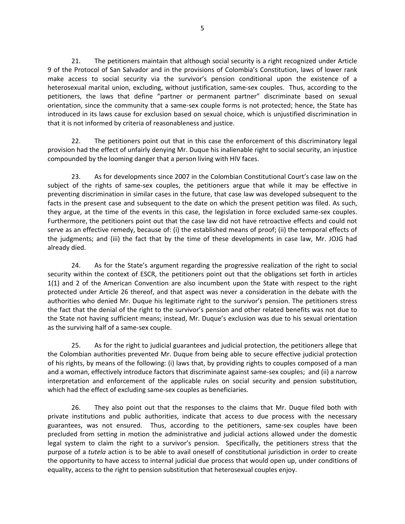21. The petitioners maintain that although social security is a right recognized under Article 9 of the Protocol of San Salvador and in the provisions of Colombia's Constitution, laws of lower rank make access to social security via the survivor's pension conditional upon the existence of a heterosexual marital union, excluding, without justification, same-sex couples. Thus, according to the petitioners, the laws that define "partner or permanent partner" discriminate based on sexual orientation, since the community that a same-sex couple forms is not protected; hence, the State has introduced in its laws cause for exclusion based on sexual choice, which is unjustified discrimination in that it is not informed by criteria of reasonableness and justice.

22. The petitioners point out that in this case the enforcement of this discriminatory legal provision had the effect of unfairly denying Mr. Duque his inalienable right to social security, an injustice compounded by the looming danger that a person living with HIV faces.

23. As for developments since 2007 in the Colombian Constitutional Court's case law on the subject of the rights of same-sex couples, the petitioners argue that while it may be effective in preventing discrimination in similar cases in the future, that case law was developed subsequent to the facts in the present case and subsequent to the date on which the present petition was filed. As such, they argue, at the time of the events in this case, the legislation in force excluded same-sex couples. Furthermore, the petitioners point out that the case law did not have retroactive effects and could not serve as an effective remedy, because of: (i) the established means of proof; (ii) the temporal effects of the judgments; and (iii) the fact that by the time of these developments in case law, Mr. JOJG had already died.

24. As for the State's argument regarding the progressive realization of the right to social security within the context of ESCR, the petitioners point out that the obligations set forth in articles 1(1) and 2 of the American Convention are also incumbent upon the State with respect to the right protected under Article 26 thereof, and that aspect was never a consideration in the debate with the authorities who denied Mr. Duque his legitimate right to the survivor's pension. The petitioners stress the fact that the denial of the right to the survivor's pension and other related benefits was not due to the State not having sufficient means; instead, Mr. Duque's exclusion was due to his sexual orientation as the surviving half of a same-sex couple.

25. As for the right to judicial guarantees and judicial protection, the petitioners allege that the Colombian authorities prevented Mr. Duque from being able to secure effective judicial protection of his rights, by means of the following: (i) laws that, by providing rights to couples composed of a man and a woman, effectively introduce factors that discriminate against same-sex couples; and (ii) a narrow interpretation and enforcement of the applicable rules on social security and pension substitution, which had the effect of excluding same-sex couples as beneficiaries.

26. They also point out that the responses to the claims that Mr. Duque filed both with private institutions and public authorities, indicate that access to due process with the necessary guarantees, was not ensured. Thus, according to the petitioners, same-sex couples have been precluded from setting in motion the administrative and judicial actions allowed under the domestic legal system to claim the right to a survivor's pension. Specifically, the petitioners stress that the purpose of a *tutela* action is to be able to avail oneself of constitutional jurisdiction in order to create the opportunity to have access to internal judicial due process that would open up, under conditions of equality, access to the right to pension substitution that heterosexual couples enjoy.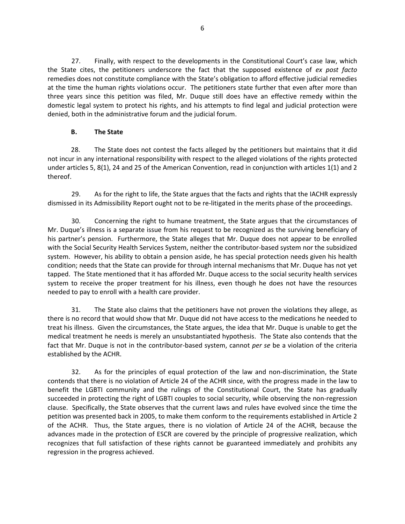27. Finally, with respect to the developments in the Constitutional Court's case law, which the State cites, the petitioners underscore the fact that the supposed existence of *ex post facto*  remedies does not constitute compliance with the State's obligation to afford effective judicial remedies at the time the human rights violations occur. The petitioners state further that even after more than three years since this petition was filed, Mr. Duque still does have an effective remedy within the domestic legal system to protect his rights, and his attempts to find legal and judicial protection were denied, both in the administrative forum and the judicial forum.

## **B. The State**

28. The State does not contest the facts alleged by the petitioners but maintains that it did not incur in any international responsibility with respect to the alleged violations of the rights protected under articles 5, 8(1), 24 and 25 of the American Convention, read in conjunction with articles 1(1) and 2 thereof.

29. As for the right to life, the State argues that the facts and rights that the IACHR expressly dismissed in its Admissibility Report ought not to be re-litigated in the merits phase of the proceedings.

30. Concerning the right to humane treatment, the State argues that the circumstances of Mr. Duque's illness is a separate issue from his request to be recognized as the surviving beneficiary of his partner's pension. Furthermore, the State alleges that Mr. Duque does not appear to be enrolled with the Social Security Health Services System, neither the contributor-based system nor the subsidized system. However, his ability to obtain a pension aside, he has special protection needs given his health condition; needs that the State can provide for through internal mechanisms that Mr. Duque has not yet tapped. The State mentioned that it has afforded Mr. Duque access to the social security health services system to receive the proper treatment for his illness, even though he does not have the resources needed to pay to enroll with a health care provider.

31. The State also claims that the petitioners have not proven the violations they allege, as there is no record that would show that Mr. Duque did not have access to the medications he needed to treat his illness. Given the circumstances, the State argues, the idea that Mr. Duque is unable to get the medical treatment he needs is merely an unsubstantiated hypothesis. The State also contends that the fact that Mr. Duque is not in the contributor-based system, cannot *per se* be a violation of the criteria established by the ACHR.

32. As for the principles of equal protection of the law and non-discrimination, the State contends that there is no violation of Article 24 of the ACHR since, with the progress made in the law to benefit the LGBTI community and the rulings of the Constitutional Court, the State has gradually succeeded in protecting the right of LGBTI couples to social security, while observing the non-regression clause. Specifically, the State observes that the current laws and rules have evolved since the time the petition was presented back in 2005, to make them conform to the requirements established in Article 2 of the ACHR. Thus, the State argues, there is no violation of Article 24 of the ACHR, because the advances made in the protection of ESCR are covered by the principle of progressive realization, which recognizes that full satisfaction of these rights cannot be guaranteed immediately and prohibits any regression in the progress achieved.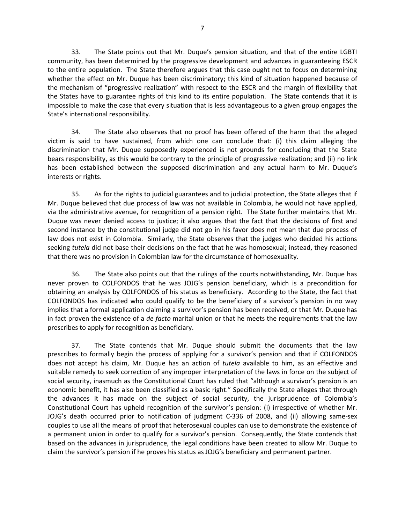33. The State points out that Mr. Duque's pension situation, and that of the entire LGBTI community, has been determined by the progressive development and advances in guaranteeing ESCR to the entire population. The State therefore argues that this case ought not to focus on determining whether the effect on Mr. Duque has been discriminatory; this kind of situation happened because of the mechanism of "progressive realization" with respect to the ESCR and the margin of flexibility that the States have to guarantee rights of this kind to its entire population. The State contends that it is impossible to make the case that every situation that is less advantageous to a given group engages the State's international responsibility.

34. The State also observes that no proof has been offered of the harm that the alleged victim is said to have sustained, from which one can conclude that: (i) this claim alleging the discrimination that Mr. Duque supposedly experienced is not grounds for concluding that the State bears responsibility, as this would be contrary to the principle of progressive realization; and (ii) no link has been established between the supposed discrimination and any actual harm to Mr. Duque's interests or rights.

35. As for the rights to judicial guarantees and to judicial protection, the State alleges that if Mr. Duque believed that due process of law was not available in Colombia, he would not have applied, via the administrative avenue, for recognition of a pension right. The State further maintains that Mr. Duque was never denied access to justice; it also argues that the fact that the decisions of first and second instance by the constitutional judge did not go in his favor does not mean that due process of law does not exist in Colombia. Similarly, the State observes that the judges who decided his actions seeking *tutela* did not base their decisions on the fact that he was homosexual; instead, they reasoned that there was no provision in Colombian law for the circumstance of homosexuality.

36. The State also points out that the rulings of the courts notwithstanding, Mr. Duque has never proven to COLFONDOS that he was JOJG's pension beneficiary, which is a precondition for obtaining an analysis by COLFONDOS of his status as beneficiary. According to the State, the fact that COLFONDOS has indicated who could qualify to be the beneficiary of a survivor's pension in no way implies that a formal application claiming a survivor's pension has been received, or that Mr. Duque has in fact proven the existence of a *de facto* marital union or that he meets the requirements that the law prescribes to apply for recognition as beneficiary.

37. The State contends that Mr. Duque should submit the documents that the law prescribes to formally begin the process of applying for a survivor's pension and that if COLFONDOS does not accept his claim, Mr. Duque has an action of *tutela* available to him, as an effective and suitable remedy to seek correction of any improper interpretation of the laws in force on the subject of social security, inasmuch as the Constitutional Court has ruled that "although a survivor's pension is an economic benefit, it has also been classified as a basic right." Specifically the State alleges that through the advances it has made on the subject of social security, the jurisprudence of Colombia's Constitutional Court has upheld recognition of the survivor's pension: (i) irrespective of whether Mr. JOJG's death occurred prior to notification of judgment C-336 of 2008, and (ii) allowing same-sex couples to use all the means of proof that heterosexual couples can use to demonstrate the existence of a permanent union in order to qualify for a survivor's pension. Consequently, the State contends that based on the advances in jurisprudence, the legal conditions have been created to allow Mr. Duque to claim the survivor's pension if he proves his status as JOJG's beneficiary and permanent partner.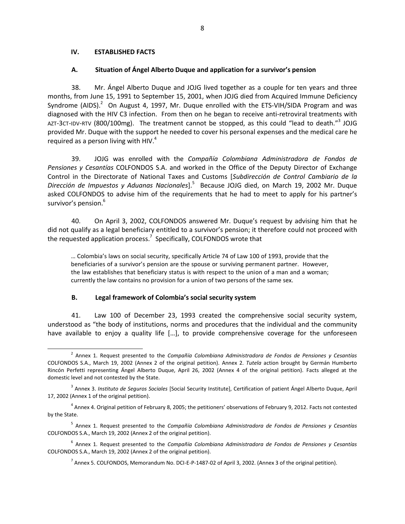#### **IV. ESTABLISHED FACTS**

#### **A. Situation of Ángel Alberto Duque and application for a survivor's pension**

38. Mr. Ángel Alberto Duque and JOJG lived together as a couple for ten years and three months, from June 15, 1991 to September 15, 2001, when JOJG died from Acquired Immune Deficiency Syndrome (AIDS). $^{2}$  On August 4, 1997, Mr. Duque enrolled with the ETS-VIH/SIDA Program and was diagnosed with the HIV C3 infection. From then on he began to receive anti-retroviral treatments with AZT-3CT-IDV-RTV (800/100mg). The treatment cannot be stopped, as this could "lead to death."<sup>3</sup> JOJG provided Mr. Duque with the support he needed to cover his personal expenses and the medical care he required as a person living with HIV. $4$ 

39. JOJG was enrolled with the *Compañía Colombiana Administradora de Fondos de Pensiones y Cesantías* COLFONDOS S.A. and worked in the Office of the Deputy Director of Exchange Control in the Directorate of National Taxes and Customs [*Subdirección de Control Cambiario de la Dirección de Impuestos y Aduanas Nacionales*].<sup>5</sup> Because JOJG died, on March 19, 2002 Mr. Duque asked COLFONDOS to advise him of the requirements that he had to meet to apply for his partner's survivor's pension.<sup>6</sup>

40. On April 3, 2002, COLFONDOS answered Mr. Duque's request by advising him that he did not qualify as a legal beneficiary entitled to a survivor's pension; it therefore could not proceed with the requested application process.<sup>7</sup> Specifically, COLFONDOS wrote that

… Colombia's laws on social security, specifically Article 74 of Law 100 of 1993, provide that the beneficiaries of a survivor's pension are the spouse or surviving permanent partner. However, the law establishes that beneficiary status is with respect to the union of a man and a woman; currently the law contains no provision for a union of two persons of the same sex.

#### **B. Legal framework of Colombia's social security system**

41. Law 100 of December 23, 1993 created the comprehensive social security system, understood as "the body of institutions, norms and procedures that the individual and the community have available to enjoy a quality life [...], to provide comprehensive coverage for the unforeseen

<sup>2</sup> Annex 1. Request presented to the *Compañía Colombiana Administradora de Fondos de Pensiones y Cesantías* COLFONDOS S.A., March 19, 2002 (Annex 2 of the original petition). Annex 2. *Tutela* action brought by Germán Humberto Rincón Perfetti representing Ángel Alberto Duque, April 26, 2002 (Annex 4 of the original petition). Facts alleged at the domestic level and not contested by the State.

<sup>3</sup> Annex 3. *Instituto de Seguros Sociales* [Social Security Institute], Certification of patient Ángel Alberto Duque, April 17, 2002 (Annex 1 of the original petition).

<sup>&</sup>lt;sup>4</sup> Annex 4. Original petition of February 8, 2005; the petitioners' observations of February 9, 2012. Facts not contested by the State.

<sup>5</sup> Annex 1. Request presented to the *Compañía Colombiana Administradora de Fondos de Pensiones y Cesantías* COLFONDOS S.A., March 19, 2002 (Annex 2 of the original petition).

<sup>6</sup> Annex 1. Request presented to the *Compañía Colombiana Administradora de Fondos de Pensiones y Cesantías* COLFONDOS S.A., March 19, 2002 (Annex 2 of the original petition).

 $^7$  Annex 5. COLFONDOS, Memorandum No. DCI-E-P-1487-02 of April 3, 2002. (Annex 3 of the original petition).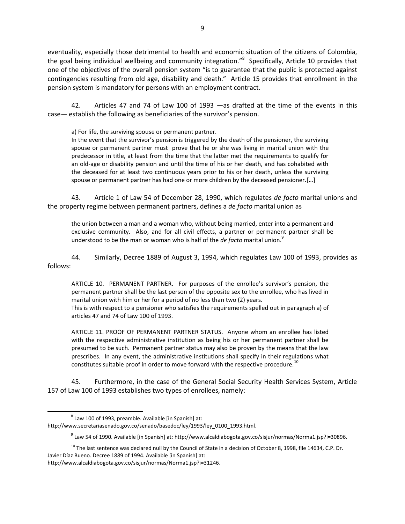eventuality, especially those detrimental to health and economic situation of the citizens of Colombia, the goal being individual wellbeing and community integration."<sup>8</sup> Specifically, Article 10 provides that one of the objectives of the overall pension system "is to guarantee that the public is protected against contingencies resulting from old age, disability and death." Article 15 provides that enrollment in the pension system is mandatory for persons with an employment contract.

42. Articles 47 and 74 of Law 100 of 1993 —as drafted at the time of the events in this case— establish the following as beneficiaries of the survivor's pension.

a) For life, the surviving spouse or permanent partner.

In the event that the survivor's pension is triggered by the death of the pensioner, the surviving spouse or permanent partner must prove that he or she was living in marital union with the predecessor in title, at least from the time that the latter met the requirements to qualify for an old-age or disability pension and until the time of his or her death, and has cohabited with the deceased for at least two continuous years prior to his or her death, unless the surviving spouse or permanent partner has had one or more children by the deceased pensioner.[…]

43. Article 1 of Law 54 of December 28, 1990, which regulates *de facto* marital unions and the property regime between permanent partners, defines a *de facto* marital union as

the union between a man and a woman who, without being married, enter into a permanent and exclusive community. Also, and for all civil effects, a partner or permanent partner shall be understood to be the man or woman who is half of the *de facto* marital union.<sup>9</sup>

44. Similarly, Decree 1889 of August 3, 1994, which regulates Law 100 of 1993, provides as follows:

ARTICLE 10. PERMANENT PARTNER. For purposes of the enrollee's survivor's pension, the permanent partner shall be the last person of the opposite sex to the enrollee, who has lived in marital union with him or her for a period of no less than two (2) years. This is with respect to a pensioner who satisfies the requirements spelled out in paragraph a) of articles 47 and 74 of Law 100 of 1993.

ARTICLE 11. PROOF OF PERMANENT PARTNER STATUS. Anyone whom an enrollee has listed with the respective administrative institution as being his or her permanent partner shall be presumed to be such. Permanent partner status may also be proven by the means that the law prescribes. In any event, the administrative institutions shall specify in their regulations what constitutes suitable proof in order to move forward with the respective procedure.<sup>10</sup>

45. Furthermore, in the case of the General Social Security Health Services System, Article 157 of Law 100 of 1993 establishes two types of enrollees, namely:

 $\overline{a}$ 

 $^8$  Law 100 of 1993, preamble. Available [in Spanish] at: [http://www.secretariasenado.gov.co/senado/basedoc/ley/1993/ley\\_0100\\_1993.html.](http://www.secretariasenado.gov.co/senado/basedoc/ley/1993/ley_0100_1993.html)

 $^9$  Law 54 of 1990. Available [in Spanish] at: [http://www.alcaldiabogota.gov.co/sisjur/normas/Norma1.jsp?i=30896.](http://www.alcaldiabogota.gov.co/sisjur/normas/Norma1.jsp?i=30896)

 $10$  The last sentence was declared null by the Council of State in a decision of October 8, 1998, file 14634, C.P. Dr. Javier Díaz Bueno. Decree 1889 of 1994. Available [in Spanish] at:

[http://www.alcaldiabogota.gov.co/sisjur/normas/Norma1.jsp?i=31246.](http://www.alcaldiabogota.gov.co/sisjur/normas/Norma1.jsp?i=31246)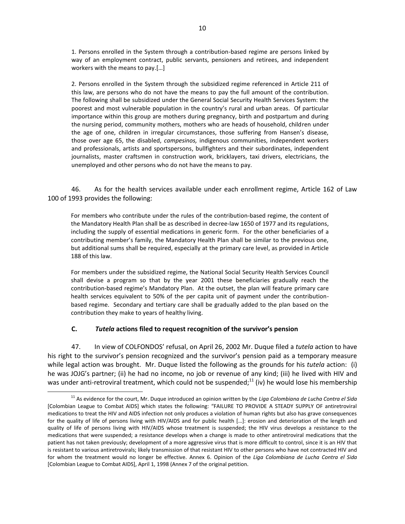1. Persons enrolled in the System through a contribution-based regime are persons linked by way of an employment contract, public servants, pensioners and retirees, and independent workers with the means to pay.[…]

2. Persons enrolled in the System through the subsidized regime referenced in Article 211 of this law, are persons who do not have the means to pay the full amount of the contribution. The following shall be subsidized under the General Social Security Health Services System: the poorest and most vulnerable population in the country's rural and urban areas. Of particular importance within this group are mothers during pregnancy, birth and postpartum and during the nursing period, community mothers, mothers who are heads of household, children under the age of one, children in irregular circumstances, those suffering from Hansen's disease, those over age 65, the disabled, *campesinos,* indigenous communities, independent workers and professionals, artists and sportspersons, bullfighters and their subordinates, independent journalists, master craftsmen in construction work, bricklayers, taxi drivers, electricians, the unemployed and other persons who do not have the means to pay.

46. As for the health services available under each enrollment regime, Article 162 of Law 100 of 1993 provides the following:

For members who contribute under the rules of the contribution-based regime, the content of the Mandatory Health Plan shall be as described in decree-law 1650 of 1977 and its regulations, including the supply of essential medications in generic form. For the other beneficiaries of a contributing member's family, the Mandatory Health Plan shall be similar to the previous one, but additional sums shall be required, especially at the primary care level, as provided in Article 188 of this law.

For members under the subsidized regime, the National Social Security Health Services Council shall devise a program so that by the year 2001 these beneficiaries gradually reach the contribution-based regime's Mandatory Plan. At the outset, the plan will feature primary care health services equivalent to 50% of the per capita unit of payment under the contributionbased regime. Secondary and tertiary care shall be gradually added to the plan based on the contribution they make to years of healthy living.

### **C.** *Tutela* **actions filed to request recognition of the survivor's pension**

 $\overline{a}$ 

47. In view of COLFONDOS' refusal, on April 26, 2002 Mr. Duque filed a *tutela* action to have his right to the survivor's pension recognized and the survivor's pension paid as a temporary measure while legal action was brought. Mr. Duque listed the following as the grounds for his *tutela* action: (i) he was JOJG's partner; (ii) he had no income, no job or revenue of any kind; (iii) he lived with HIV and was under anti-retroviral treatment, which could not be suspended;<sup>11</sup> (iv) he would lose his membership

<sup>11</sup> As evidence for the court, Mr. Duque introduced an opinion written by the *Liga Colombiana de Lucha Contra el Sida* [Colombian League to Combat AIDS] which states the following: "FAILURE TO PROVIDE A STEADY SUPPLY OF antiretroviral medications to treat the HIV and AIDS infection not only produces a violation of human rights but also has grave consequences for the quality of life of persons living with HIV/AIDS and for public health […]: erosion and deterioration of the length and quality of life of persons living with HIV/AIDS whose treatment is suspended; the HIV virus develops a resistance to the medications that were suspended; a resistance develops when a change is made to other antiretroviral medications that the patient has not taken previously; development of a more aggressive virus that is more difficult to control, since it is an HIV that is resistant to various antiretrovirals; likely transmission of that resistant HIV to other persons who have not contracted HIV and for whom the treatment would no longer be effective. Annex 6. Opinion of the *Liga Colombiana de Lucha Contra el Sida*  [Colombian League to Combat AIDS], April 1, 1998 (Annex 7 of the original petition.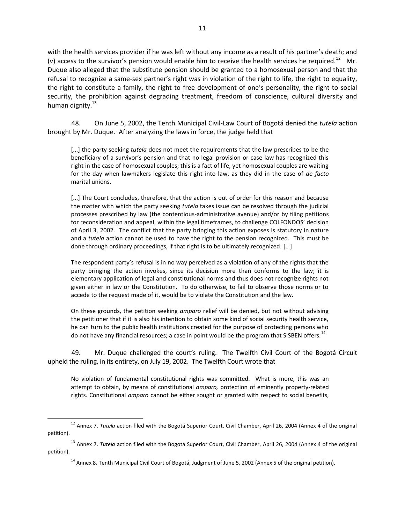with the health services provider if he was left without any income as a result of his partner's death; and (v) access to the survivor's pension would enable him to receive the health services he required.<sup>12</sup> Mr. Duque also alleged that the substitute pension should be granted to a homosexual person and that the refusal to recognize a same-sex partner's right was in violation of the right to life, the right to equality, the right to constitute a family, the right to free development of one's personality, the right to social security, the prohibition against degrading treatment, freedom of conscience, cultural diversity and human dignity.<sup>13</sup>

48. On June 5, 2002, the Tenth Municipal Civil-Law Court of Bogotá denied the *tutela* action brought by Mr. Duque. After analyzing the laws in force, the judge held that

[...] the party seeking *tutela* does not meet the requirements that the law prescribes to be the beneficiary of a survivor's pension and that no legal provision or case law has recognized this right in the case of homosexual couples; this is a fact of life, yet homosexual couples are waiting for the day when lawmakers legislate this right into law, as they did in the case of *de facto*  marital unions.

[...] The Court concludes, therefore, that the action is out of order for this reason and because the matter with which the party seeking *tutela* takes issue can be resolved through the judicial processes prescribed by law (the contentious-administrative avenue) and/or by filing petitions for reconsideration and appeal, within the legal timeframes, to challenge COLFONDOS' decision of April 3, 2002. The conflict that the party bringing this action exposes is statutory in nature and a *tutela* action cannot be used to have the right to the pension recognized. This must be done through ordinary proceedings, if that right is to be ultimately recognized. […]

The respondent party's refusal is in no way perceived as a violation of any of the rights that the party bringing the action invokes, since its decision more than conforms to the law; it is elementary application of legal and constitutional norms and thus does not recognize rights not given either in law or the Constitution. To do otherwise, to fail to observe those norms or to accede to the request made of it, would be to violate the Constitution and the law.

On these grounds, the petition seeking *amparo* relief will be denied, but not without advising the petitioner that if it is also his intention to obtain some kind of social security health service, he can turn to the public health institutions created for the purpose of protecting persons who do not have any financial resources; a case in point would be the program that SISBEN offers.<sup>14</sup>

49. Mr. Duque challenged the court's ruling. The Twelfth Civil Court of the Bogotá Circuit upheld the ruling, in its entirety, on July 19, 2002. The Twelfth Court wrote that

No violation of fundamental constitutional rights was committed. What is more, this was an attempt to obtain, by means of constitutional *amparo,* protection of eminently property-related rights. Constitutional *amparo* cannot be either sought or granted with respect to social benefits,

 $\overline{a}$ 

<sup>&</sup>lt;sup>12</sup> Annex 7. *Tutela* action filed with the Bogotá Superior Court, Civil Chamber, April 26, 2004 (Annex 4 of the original petition).

<sup>13</sup> Annex 7. *Tutela* action filed with the Bogotá Superior Court, Civil Chamber, April 26, 2004 (Annex 4 of the original petition).

<sup>&</sup>lt;sup>14</sup> Annex 8. Tenth Municipal Civil Court of Bogotá, Judgment of June 5, 2002 (Annex 5 of the original petition).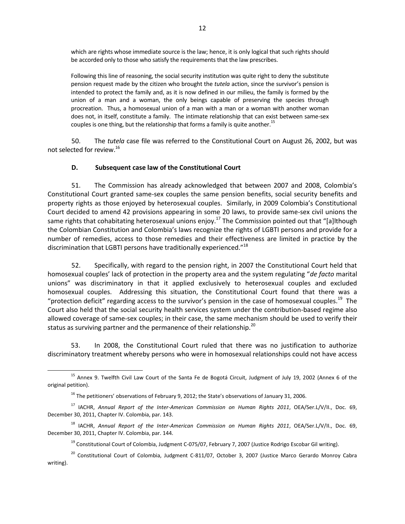which are rights whose immediate source is the law; hence, it is only logical that such rights should be accorded only to those who satisfy the requirements that the law prescribes.

Following this line of reasoning, the social security institution was quite right to deny the substitute pension request made by the citizen who brought the *tutela* action, since the survivor's pension is intended to protect the family and, as it is now defined in our milieu, the family is formed by the union of a man and a woman, the only beings capable of preserving the species through procreation. Thus, a homosexual union of a man with a man or a woman with another woman does not, in itself, constitute a family. The intimate relationship that can exist between same-sex couples is one thing, but the relationship that forms a family is quite another.<sup>15</sup>

50. The *tutela* case file was referred to the Constitutional Court on August 26, 2002, but was not selected for review.<sup>16</sup>

### **D. Subsequent case law of the Constitutional Court**

51. The Commission has already acknowledged that between 2007 and 2008, Colombia's Constitutional Court granted same-sex couples the same pension benefits, social security benefits and property rights as those enjoyed by heterosexual couples. Similarly, in 2009 Colombia's Constitutional Court decided to amend 42 provisions appearing in some 20 laws, to provide same-sex civil unions the same rights that cohabitating heterosexual unions enjoy.<sup>17</sup> The Commission pointed out that "[a]lthough the Colombian Constitution and Colombia's laws recognize the rights of LGBTI persons and provide for a number of remedies, access to those remedies and their effectiveness are limited in practice by the discrimination that LGBTI persons have traditionally experienced."<sup>18</sup>

52. Specifically, with regard to the pension right, in 2007 the Constitutional Court held that homosexual couples' lack of protection in the property area and the system regulating "*de facto* marital unions" was discriminatory in that it applied exclusively to heterosexual couples and excluded homosexual couples. Addressing this situation, the Constitutional Court found that there was a "protection deficit" regarding access to the survivor's pension in the case of homosexual couples.<sup>19</sup> The Court also held that the social security health services system under the contribution-based regime also allowed coverage of same-sex couples; in their case, the same mechanism should be used to verify their status as surviving partner and the permanence of their relationship.<sup>20</sup>

53. In 2008, the Constitutional Court ruled that there was no justification to authorize discriminatory treatment whereby persons who were in homosexual relationships could not have access

 <sup>15</sup> Annex 9. Twelfth Civil Law Court of the Santa Fe de Bogotá Circuit, Judgment of July 19, 2002 (Annex 6 of the original petition).

 $16$  The petitioners' observations of February 9, 2012; the State's observations of January 31, 2006.

<sup>17</sup> IACHR, *Annual Report of the Inter-American Commission on Human Rights 2011*, OEA/Ser.L/V/II., Doc. 69, December 30, 2011, Chapter IV. Colombia, par. 143.

<sup>18</sup> IACHR, *Annual Report of the Inter-American Commission on Human Rights 2011*, OEA/Ser.L/V/II., Doc. 69, December 30, 2011, Chapter IV. Colombia, par. 144.

<sup>&</sup>lt;sup>19</sup> Constitutional Court of Colombia, Judgment C-075/07, February 7, 2007 (Justice Rodrigo Escobar Gil writing).

<sup>&</sup>lt;sup>20</sup> Constitutional Court of Colombia, Judgment C-811/07, October 3, 2007 (Justice Marco Gerardo Monroy Cabra writing).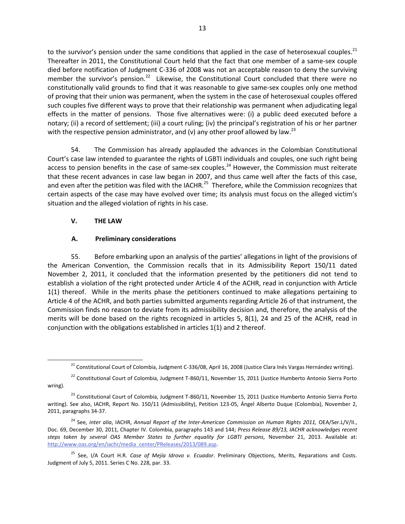to the survivor's pension under the same conditions that applied in the case of heterosexual couples. $^{21}$ Thereafter in 2011, the Constitutional Court held that the fact that one member of a same-sex couple died before notification of Judgment C-336 of 2008 was not an acceptable reason to deny the surviving member the survivor's pension.<sup>22</sup> Likewise, the Constitutional Court concluded that there were no constitutionally valid grounds to find that it was reasonable to give same-sex couples only one method of proving that their union was permanent, when the system in the case of heterosexual couples offered such couples five different ways to prove that their relationship was permanent when adjudicating legal effects in the matter of pensions. Those five alternatives were: (i) a public deed executed before a notary; (ii) a record of settlement; (iii) a court ruling; (iv) the principal's registration of his or her partner with the respective pension administrator, and (v) any other proof allowed by law.<sup>23</sup>

54. The Commission has already applauded the advances in the Colombian Constitutional Court's case law intended to guarantee the rights of LGBTI individuals and couples, one such right being access to pension benefits in the case of same-sex couples.<sup>24</sup> However, the Commission must reiterate that these recent advances in case law began in 2007, and thus came well after the facts of this case, and even after the petition was filed with the IACHR.<sup>25</sup> Therefore, while the Commission recognizes that certain aspects of the case may have evolved over time; its analysis must focus on the alleged victim's situation and the alleged violation of rights in his case.

## **V. THE LAW**

 $\overline{a}$ 

## **A. Preliminary considerations**

55. Before embarking upon an analysis of the parties' allegations in light of the provisions of the American Convention, the Commission recalls that in its Admissibility Report 150/11 dated November 2, 2011, it concluded that the information presented by the petitioners did not tend to establish a violation of the right protected under Article 4 of the ACHR, read in conjunction with Article 1(1) thereof. While in the merits phase the petitioners continued to make allegations pertaining to Article 4 of the ACHR, and both parties submitted arguments regarding Article 26 of that instrument, the Commission finds no reason to deviate from its admissibility decision and, therefore, the analysis of the merits will be done based on the rights recognized in articles 5, 8(1), 24 and 25 of the ACHR, read in conjunction with the obligations established in articles 1(1) and 2 thereof.

 $21$  Constitutional Court of Colombia, Judgment C-336/08, April 16, 2008 (Justice Clara Inés Vargas Hernández writing).

<sup>&</sup>lt;sup>22</sup> Constitutional Court of Colombia, Judgment T-860/11, November 15, 2011 (Justice Humberto Antonio Sierra Porto wring).

<sup>&</sup>lt;sup>23</sup> Constitutional Court of Colombia, Judgment T-860/11, November 15, 2011 (Justice Humberto Antonio Sierra Porto writing). See also, IACHR, Report No. 150/11 (Admissibility), Petition 123-05, Ángel Alberto Duque (Colombia), November 2, 2011, paragraphs 34-37.

<sup>&</sup>lt;sup>24</sup> See, inter alia, IACHR, Annual Report of the Inter-American Commission on Human Rights 2011, OEA/Ser.L/V/II., Doc. 69, December 30, 2011, Chapter IV. Colombia, paragraphs 143 and 144; *Press Release 89/13, IACHR acknowledges recent steps taken by several OAS Member States to further equality for LGBTI persons,* November 21, 2013. Available at: [http://www.oas.org/en/iachr/media\\_center/PReleases/2013/089.asp.](http://www.oas.org/en/iachr/media_center/PReleases/2013/089.asp) 

<sup>25</sup> See, I/A Court H.R. *Case of Mejía Idrovo v. Ecuador*. Preliminary Objections, Merits, Reparations and Costs. Judgment of July 5, 2011. Series C No. 228, par. 33.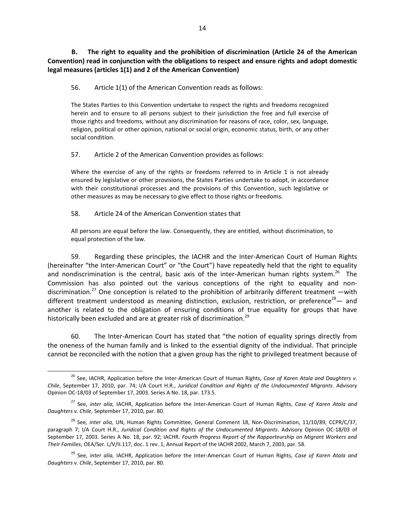**B. The right to equality and the prohibition of discrimination (Article 24 of the American Convention) read in conjunction with the obligations to respect and ensure rights and adopt domestic legal measures (articles 1(1) and 2 of the American Convention)**

56. Article 1(1) of the American Convention reads as follows:

The States Parties to this Convention undertake to respect the rights and freedoms recognized herein and to ensure to all persons subject to their jurisdiction the free and full exercise of those rights and freedoms, without any discrimination for reasons of race, color, sex, language, religion, political or other opinion, national or social origin, economic status, birth, or any other social condition.

57. Article 2 of the American Convention provides as follows:

Where the exercise of any of the rights or freedoms referred to in Article 1 is not already ensured by legislative or other provisions, the States Parties undertake to adopt, in accordance with their constitutional processes and the provisions of this Convention, such legislative or other measures as may be necessary to give effect to those rights or freedoms.

58. Article 24 of the American Convention states that

All persons are equal before the law. Consequently, they are entitled, without discrimination, to equal protection of the law.

59. Regarding these principles, the IACHR and the Inter-American Court of Human Rights (hereinafter "the Inter-American Court" or "the Court") have repeatedly held that the right to equality and nondiscrimination is the central, basic axis of the inter-American human rights system.<sup>26</sup> The Commission has also pointed out the various conceptions of the right to equality and nondiscrimination.<sup>27</sup> One conception is related to the prohibition of arbitrarily different treatment —with different treatment understood as meaning distinction, exclusion, restriction, or preference<sup>28</sup> - and another is related to the obligation of ensuring conditions of true equality for groups that have historically been excluded and are at greater risk of discrimination.<sup>29</sup>

60. The Inter-American Court has stated that "the notion of equality springs directly from the oneness of the human family and is linked to the essential dignity of the individual. That principle cannot be reconciled with the notion that a given group has the right to privileged treatment because of

<sup>26</sup> See, IACHR, Application before the Inter-American Court of Human Rights, *Case of Karen Atala and Daughters v. Chile*, September 17, 2010, par. 74; I/A Court H.R., *Juridical Condition and Rights of the Undocumented Migrants*. Advisory Opinion OC-18/03 of September 17, 2003. Series A No. 18, par. 173.5.

<sup>27</sup> See, *inter alia,* IACHR, Application before the Inter-American Court of Human Rights, *Case of Karen Atala and Daughters v. Chile*, September 17, 2010, par. 80.

<sup>28</sup> See, *inter alia,* UN, Human Rights Committee, General Comment 18, Non-Discrimination, 11/10/89, CCPR/C/37, paragraph 7; I/A Court H.R., *Juridical Condition and Rights of the Undocumented Migrants*. Advisory Opinion OC-18/03 of September 17, 2003. Series A No. 18, par. 92; IACHR. *Fourth Progress Report of the Rapporteurship on Migrant Workers and Their Families*, OEA/Ser. L/V/II.117, doc. 1 rev. 1, Annual Report of the IACHR 2002, March 7, 2003, par. 58.

<sup>29</sup> See, *inter alia,* IACHR, Application before the Inter-American Court of Human Rights, *Case of Karen Atala and Daughters v. Chile*, September 17, 2010, par. 80.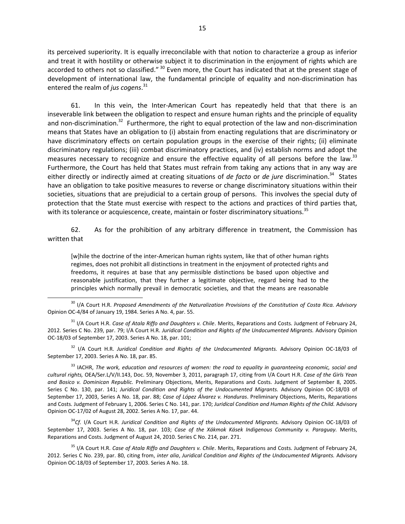its perceived superiority. It is equally irreconcilable with that notion to characterize a group as inferior and treat it with hostility or otherwise subject it to discrimination in the enjoyment of rights which are accorded to others not so classified." <sup>30</sup> Even more, the Court has indicated that at the present stage of development of international law, the fundamental principle of equality and non-discrimination has entered the realm of *jus cogens*. 31

61. In this vein, the Inter-American Court has repeatedly held that that there is an inseverable link between the obligation to respect and ensure human rights and the principle of equality and non-discrimination.<sup>32</sup> Furthermore, the right to equal protection of the law and non-discrimination means that States have an obligation to (i) abstain from enacting regulations that are discriminatory or have discriminatory effects on certain population groups in the exercise of their rights; (ii) eliminate discriminatory regulations; (iii) combat discriminatory practices, and (iv) establish norms and adopt the measures necessary to recognize and ensure the effective equality of all persons before the law.<sup>33</sup> Furthermore, the Court has held that States must refrain from taking any actions that in any way are either directly or indirectly aimed at creating situations of *de facto* or *de jure* discrimination.<sup>34</sup> States have an obligation to take positive measures to reverse or change discriminatory situations within their societies, situations that are prejudicial to a certain group of persons. This involves the special duty of protection that the State must exercise with respect to the actions and practices of third parties that, with its tolerance or acquiescence, create, maintain or foster discriminatory situations.<sup>35</sup>

62. As for the prohibition of any arbitrary difference in treatment, the Commission has written that

[w]hile the doctrine of the inter-American human rights system, like that of other human rights regimes, does not prohibit all distinctions in treatment in the enjoyment of protected rights and freedoms, it requires at base that any permissible distinctions be based upon objective and reasonable justification, that they further a legitimate objective, regard being had to the principles which normally prevail in democratic societies, and that the means are reasonable

<sup>32</sup> I/A Court H.R. *Juridical Condition and Rights of the Undocumented Migrants*. Advisory Opinion OC-18/03 of September 17, 2003. Series A No. 18, par. 85.

<sup>33</sup> IACHR, *The work, education and resources of women: the road to equality in guaranteeing economic, social and cultural rights,* OEA/Ser.L/V/II.143, Doc. 59, November 3, 2011, paragraph 17, citing from I/A Court H.R. *Case of the Girls Yean and Bosico v. Dominican Republic.* Preliminary Objections, Merits, Reparations and Costs. Judgment of September 8, 2005. Series C No. 130, par. 141; *Juridical Condition and Rights of the Undocumented Migrants*. Advisory Opinion OC-18/03 of September 17, 2003, Series A No. 18, par. 88; *Case of López Álvarez v. Honduras*. Preliminary Objections, Merits, Reparations and Costs. Judgment of February 1, 2006. Series C No. 141, par. 170; *Juridical Condition and Human Rights of the Child.* Advisory Opinion OC-17/02 of August 28, 2002. Series A No. 17, par. 44.

<sup>34</sup>*Cf.* I/A Court H.R. *Juridical Condition and Rights of the Undocumented Migrants.* Advisory Opinion OC-18/03 of September 17, 2003. Series A No. 18, par. 103; *Case of the Xákmok Kásek Indigenous Community v. Paraguay.* Merits, Reparations and Costs. Judgment of August 24, 2010. Series C No. 214, par. 271.

<sup>35</sup> I/A Court H.R. *Case of Atala Riffo and Daughters v. Chile*. Merits, Reparations and Costs. Judgment of February 24, 2012. Series C No. 239, par. 80, citing from, *inter alia*, *Juridical Condition and Rights of the Undocumented Migrants.* Advisory Opinion OC-18/03 of September 17, 2003. Series A No. 18.

<sup>&</sup>lt;sup>30</sup> I/A Court H.R. *Proposed Amendments of the Naturalization Provisions of the Constitution of Costa Rica. Advisory* Opinion OC-4/84 of January 19, 1984. Series A No. 4, par. 55.

<sup>31</sup> I/A Court H.R. *Case of Atala Riffo and Daughters v. Chile*. Merits, Reparations and Costs. Judgment of February 24, 2012. Series C No. 239, par. 79; I/A Court H.R. *Juridical Condition and Rights of the Undocumented Migrants.* Advisory Opinion OC-18/03 of September 17, 2003. Series A No. 18, par. 101;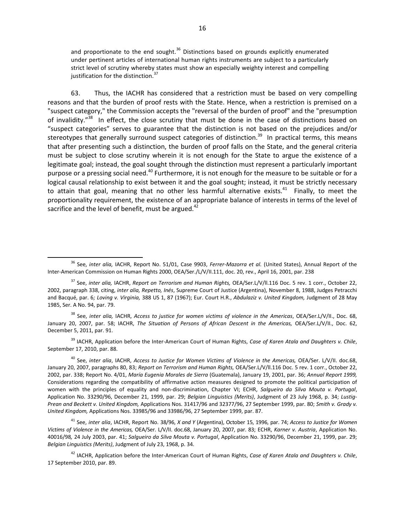and proportionate to the end sought. $36$  Distinctions based on grounds explicitly enumerated under pertinent articles of international human rights instruments are subject to a particularly strict level of scrutiny whereby states must show an especially weighty interest and compelling justification for the distinction.<sup>37</sup>

63. Thus, the IACHR has considered that a restriction must be based on very compelling reasons and that the burden of proof rests with the State. Hence, when a restriction is premised on a "suspect category," the Commission accepts the "reversal of the burden of proof" and the "presumption of invalidity."<sup>38</sup> In effect, the close scrutiny that must be done in the case of distinctions based on "suspect categories" serves to guarantee that the distinction is not based on the prejudices and/or stereotypes that generally surround suspect categories of distinction.<sup>39</sup> In practical terms, this means that after presenting such a distinction, the burden of proof falls on the State, and the general criteria must be subject to close scrutiny wherein it is not enough for the State to argue the existence of a legitimate goal; instead, the goal sought through the distinction must represent a particularly important purpose or a pressing social need.<sup>40</sup> Furthermore, it is not enough for the measure to be suitable or for a logical causal relationship to exist between it and the goal sought; instead, it must be strictly necessary to attain that goal, meaning that no other less harmful alternative exists.<sup>41</sup> Finally, to meet the proportionality requirement, the existence of an appropriate balance of interests in terms of the level of sacrifice and the level of benefit, must be argued. $42$ 

 $\overline{a}$ 

<sup>38</sup> See, *inter alia,* IACHR, *Access to justice for women victims of violence in the Americas*, OEA/Ser.L/V/II., Doc. 68, January 20, 2007, par. 58; IACHR, *The Situation of Persons of African Descent in the Americas,* OEA/Ser.L/V/II., Doc. 62, December 5, 2011, par. 91.

<sup>39</sup> IACHR, Application before the Inter-American Court of Human Rights, *Case of Karen Atala and Daughters v. Chile*, September 17, 2010, par. 88.

<sup>40</sup> See, *inter alia*, IACHR, *Access to Justice for Women Victims of Violence in the Americas,* OEA/Ser. L/V/II. doc.68, January 20, 2007, paragraphs 80, 83; *Report on Terrorism and Human Rights,* OEA/Ser.L/V/ll.116 Doc. 5 rev. 1 corr., October 22, 2002, par. 338; Report No. 4/01, *María Eugenia Morales de Sierra* (Guatemala), January 19, 2001, par. 36; *Annual Report 1999,*  Considerations regarding the compatibility of affirmative action measures designed to promote the political participation of women with the principles of equality and non-discrimination, Chapter VI; ECHR, *Salgueiro da Silva Mouta v. Portugal*, Application No. 33290/96, December 21, 1999, par. 29; *Belgian Linguistics (Merits)*, Judgment of 23 July 1968, p. 34; *Lustig-Prean and Beckett v. United Kingdom,* Applications Nos. 31417/96 and 32377/96, 27 September 1999, par. 80; *Smith v. Grady v. United Kingdom,* Applications Nos. 33985/96 and 33986/96, 27 September 1999, par. 87.

<sup>41</sup> See, *inter alia*, IACHR, Report No. 38/96, *X and Y* (Argentina), October 15, 1996, par. 74; *Access to Justice for Women Victims of Violence in the Americas,* OEA/Ser. L/V/II. doc.68, January 20, 2007, par. 83; ECHR, *Karner v. Austria*, Application No. 40016/98*,* 24 July 2003, par. 41; *Salgueiro da Silva Mouta v. Portugal*, Application No. 33290/96, December 21, 1999, par. 29; *Belgian Linguistics (Merits)*, Judgment of July 23, 1968, p. 34.

<sup>42</sup> IACHR, Application before the Inter-American Court of Human Rights, *Case of Karen Atala and Daughters v. Chile*, 17 September 2010, par. 89.

<sup>36</sup> See, *inter alia,* IACHR, Report No. 51/01, Case 9903, *Ferrer-Mazorra et al.* (United States), Annual Report of the Inter-American Commission on Human Rights 2000, OEA/Ser./L/V/II.111, doc. 20, rev., April 16, 2001, par. 238

<sup>37</sup> See, *inter alia,* IACHR, *Report on Terrorism and Human Rights,* OEA/Ser.L/V/ll.116 Doc. 5 rev. 1 corr., October 22, 2002, paragraph 338, citing, *inter alia, Repetto, Inés*, Supreme Court of Justice (Argentina), November 8, 1988, Judges Petracchi and Bacqué, par. 6*; Loving v. Virginia,* 388 US 1, 87 (1967); Eur. Court H.R., *Abdulaziz v. United Kingdom,* Judgment of 28 May 1985, Ser. A No. 94, par. 79.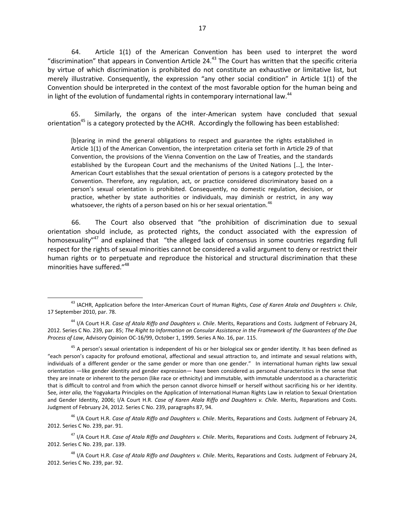64. Article 1(1) of the American Convention has been used to interpret the word "discrimination" that appears in Convention Article  $24.^{43}$  The Court has written that the specific criteria by virtue of which discrimination is prohibited do not constitute an exhaustive or limitative list, but merely illustrative. Consequently, the expression "any other social condition" in Article 1(1) of the Convention should be interpreted in the context of the most favorable option for the human being and in light of the evolution of fundamental rights in contemporary international law.<sup>44</sup>

65. Similarly, the organs of the inter-American system have concluded that sexual orientation<sup>45</sup> is a category protected by the ACHR. Accordingly the following has been established:

[b]earing in mind the general obligations to respect and guarantee the rights established in Article 1(1) of the American Convention, the interpretation criteria set forth in Article 29 of that Convention, the provisions of the Vienna Convention on the Law of Treaties, and the standards established by the European Court and the mechanisms of the United Nations […], the Inter-American Court establishes that the sexual orientation of persons is a category protected by the Convention. Therefore, any regulation, act, or practice considered discriminatory based on a person's sexual orientation is prohibited. Consequently, no domestic regulation, decision, or practice, whether by state authorities or individuals, may diminish or restrict, in any way whatsoever, the rights of a person based on his or her sexual orientation.<sup>46</sup>

66. The Court also observed that "the prohibition of discrimination due to sexual orientation should include, as protected rights, the conduct associated with the expression of homosexuality<sup>"47</sup> and explained that "the alleged lack of consensus in some countries regarding full respect for the rights of sexual minorities cannot be considered a valid argument to deny or restrict their human rights or to perpetuate and reproduce the historical and structural discrimination that these minorities have suffered."<sup>48</sup>

<sup>46</sup> I/A Court H.R. *Case of Atala Riffo and Daughters v. Chile*. Merits, Reparations and Costs. Judgment of February 24, 2012. Series C No. 239, par. 91.

<sup>47</sup> I/A Court H.R. *Case of Atala Riffo and Daughters v. Chile*. Merits, Reparations and Costs. Judgment of February 24, 2012. Series C No. 239, par. 139.

<sup>48</sup> I/A Court H.R. *Case of Atala Riffo and Daughters v. Chile*. Merits, Reparations and Costs. Judgment of February 24, 2012. Series C No. 239, par. 92.

<sup>43</sup> IACHR, Application before the Inter-American Court of Human Rights, *Case of Karen Atala and Daughters v. Chile*, 17 September 2010, par. 78.

<sup>44</sup> I/A Court H.R. *Case of Atala Riffo and Daughters v. Chile*. Merits, Reparations and Costs. Judgment of February 24, 2012. Series C No. 239, par. 85; *The Right to Information on Consular Assistance in the Framework of the Guarantees of the Due Process of Law*, Advisory Opinion OC-16/99, October 1, 1999. Series A No. 16, par. 115.

<sup>&</sup>lt;sup>45</sup> A person's sexual orientation is independent of his or her biological sex or gender identity. It has been defined as "each person's capacity for profound emotional, affectional and sexual attraction to, and intimate and sexual relations with, individuals of a different gender or the same gender or more than one gender." In international human rights law sexual orientation —like gender identity and gender expression— have been considered as personal characteristics in the sense that they are innate or inherent to the person (like race or ethnicity) and immutable, with immutable understood as a characteristic that is difficult to control and from which the person cannot divorce himself or herself without sacrificing his or her identity. See, *inter alia,* the Yogyakarta Principles on the Application of International Human Rights Law in relation to Sexual Orientation and Gender Identity, 2006; I/A Court H.R. *Case of Karen Atala Riffo and Daughters v. Chile.* Merits, Reparations and Costs. Judgment of February 24, 2012. Series C No. 239, paragraphs 87, 94.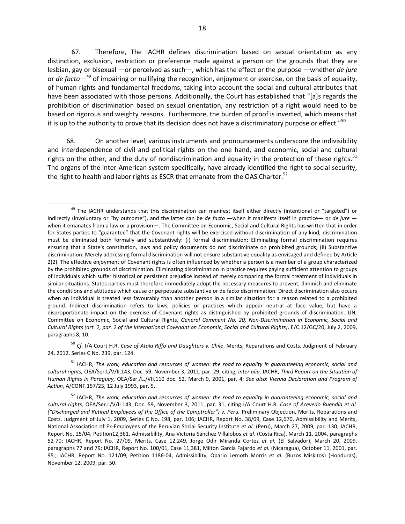67. Therefore, The IACHR defines discrimination based on sexual orientation as any distinction, exclusion, restriction or preference made against a person on the grounds that they are lesbian, gay or bisexual —or perceived as such—, which has the effect or the purpose —whether *de jure*  or *de facto*— <sup>49</sup> of impairing or nullifying the recognition, enjoyment or exercise, on the basis of equality, of human rights and fundamental freedoms, taking into account the social and cultural attributes that have been associated with those persons. Additionally, the Court has established that "[a]s regards the prohibition of discrimination based on sexual orientation, any restriction of a right would need to be based on rigorous and weighty reasons. Furthermore, the burden of proof is inverted, which means that it is up to the authority to prove that its decision does not have a discriminatory purpose or effect."<sup>50</sup>

68. On another level, various instruments and pronouncements underscore the indivisibility and interdependence of civil and political rights on the one hand, and economic, social and cultural rights on the other, and the duty of nondiscrimination and equality in the protection of these rights.<sup>51</sup> The organs of the inter-American system specifically, have already identified the right to social security, the right to health and labor rights as ESCR that emanate from the OAS Charter.<sup>52</sup>

<sup>50</sup> *Cf.* I/A Court H.R. *Case of Atala Riffo and Daughters v. Chile*. Merits, Reparations and Costs. Judgment of February 24, 2012. Series C No. 239, par. 124.

<sup>51</sup> IACHR, *The work, education and resources of women: the road to equality in guaranteeing economic, social and cultural rights,* OEA/Ser.L/V/II.143, Doc. 59, November 3, 2011, par. 29, citing, *inter alia,* IACHR, *Third Report on the Situation of Human Rights in Paraguay,* OEA/Ser./L./VII.110 doc. 52, March 9, 2001, par. 4; *See also*: *Vienna Declaration and Program of Action*, A/CONF.157/23, 12 July 1993, par. 5.

 <sup>49</sup> The IACHR understands that this discrimination can manifest itself either directly (intentional or "targeted") or indirectly (involuntary or "by outcome"), and the latter can be *de facto* —when it manifests itself in practice— or *de jure*  when it emanates from a law or a provision—. The Committee on Economic, Social and Cultural Rights has written that in order for States parties to "guarantee" that the Covenant rights will be exercised without discrimination of any kind, discrimination must be eliminated both formally and substantively: (i) formal discrimination: Eliminating formal discrimination requires ensuring that a State's constitution, laws and policy documents do not discriminate on prohibited grounds; (ii) Substantive discrimination: Merely addressing formal discrimination will not ensure substantive equality as envisaged and defined by Article 2(2). The effective enjoyment of Covenant rights is often influenced by whether a person is a member of a group characterized by the prohibited grounds of discrimination. Eliminating discrimination in practice requires paying sufficient attention to groups of individuals which suffer historical or persistent prejudice instead of merely comparing the formal treatment of individuals in similar situations. States parties must therefore immediately adopt the necessary measures to prevent, diminish and eliminate the conditions and attitudes which cause or perpetuate substantive or de facto discrimination*.* Direct discrimination also occurs when an individual is treated less favourably than another person in a similar situation for a reason related to a prohibited ground. Indirect discrimination refers to laws, policies or practices which appear neutral at face value, but have a disproportionate impact on the exercise of Covenant rights as distinguished by prohibited grounds of discrimination. UN, Committee on Economic, Social and Cultural Rights, *General Comment No. 20, Non-Discrimination in Economic, Social and Cultural Rights (art. 2, par. 2 of the International Covenant on Economic, Social and Cultural Rights)*. E/C.12/GC/20, July 2, 2009, paragraphs 8, 10.

<sup>52</sup> IACHR, *The work, education and resources of women: the road to equality in guaranteeing economic, social and cultural rights,* OEA/Ser.L/V/II.143, Doc. 59, November 3, 2011, par. 31, citing I/A Court H.R. *Case of Acevedo Buendía et al. ("Discharged and Retired Employees of the Office of the Comptroller") v. Peru.* Preliminary Objection, Merits, Reparations and Costs. Judgment of July 1, 2009, Series C No. 198, par. 106; IACHR, Report No. 38/09, Case 12,670, Admissibility and Merits, National Association of Ex-Employees of the Peruvian Social Security Institute *et al.* (Peru), March 27, 2009, par. 130; IACHR, Report No. 25/04, Petition12,361, Admissibility, Ana Victoria Sánchez Villalobos *et al.* (Costa Rica), March 11, 2004, paragraphs 52-70; IACHR, Report No. 27/09, Merits, Case 12,249, Jorge Odir Miranda Cortez *et al.* (El Salvador), March 20, 2009, paragraphs 77 and 79; IACHR, Report No. 100/01, Case 11,381, Milton García Fajardo *et al.* (Nicaragua), October 11, 2001, par. 95.; IACHR, Report No. 121/09, Petition 1186-04, Admissibility, Opario Lemoth Morris *et al.* (Buzos Miskitos) (Honduras), November 12, 2009, par. 50.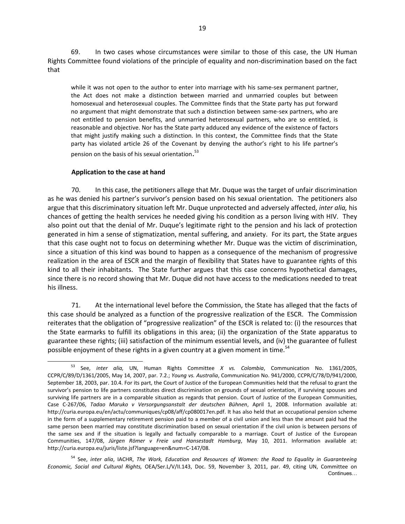69. In two cases whose circumstances were similar to those of this case, the UN Human Rights Committee found violations of the principle of equality and non-discrimination based on the fact that

while it was not open to the author to enter into marriage with his same-sex permanent partner, the Act does not make a distinction between married and unmarried couples but between homosexual and heterosexual couples. The Committee finds that the State party has put forward no argument that might demonstrate that such a distinction between same-sex partners, who are not entitled to pension benefits, and unmarried heterosexual partners, who are so entitled, is reasonable and objective. Nor has the State party adduced any evidence of the existence of factors that might justify making such a distinction. In this context, the Committee finds that the State party has violated article 26 of the Covenant by denying the author's right to his life partner's pension on the basis of his sexual orientation.<sup>53</sup>

#### **Application to the case at hand**

70. In this case, the petitioners allege that Mr. Duque was the target of unfair discrimination as he was denied his partner's survivor's pension based on his sexual orientation. The petitioners also argue that this discriminatory situation left Mr. Duque unprotected and adversely affected, *inter alia,* his chances of getting the health services he needed giving his condition as a person living with HIV. They also point out that the denial of Mr. Duque's legitimate right to the pension and his lack of protection generated in him a sense of stigmatization, mental suffering, and anxiety. For its part, the State argues that this case ought not to focus on determining whether Mr. Duque was the victim of discrimination, since a situation of this kind was bound to happen as a consequence of the mechanism of progressive realization in the area of ESCR and the margin of flexibility that States have to guarantee rights of this kind to all their inhabitants. The State further argues that this case concerns hypothetical damages, since there is no record showing that Mr. Duque did not have access to the medications needed to treat his illness.

71. At the international level before the Commission, the State has alleged that the facts of this case should be analyzed as a function of the progressive realization of the ESCR. The Commission reiterates that the obligation of "progressive realization" of the ESCR is related to: (i) the resources that the State earmarks to fulfill its obligations in this area; (ii) the organization of the State apparatus to guarantee these rights; (iii) satisfaction of the minimum essential levels, and (iv) the guarantee of fullest possible enjoyment of these rights in a given country at a given moment in time.<sup>54</sup>

<sup>53</sup> See, *inter alia,* UN, Human Rights Committee *X vs. Colombia*, Communication No. 1361/2005, CCPR/C/89/D/1361/2005, May 14, 2007, par. 7.2.; *Young vs. Australia*, Communication No. 941/2000, CCPR/C/78/D/941/2000, September 18, 2003, par. 10.4. For its part, the Court of Justice of the European Communities held that the refusal to grant the survivor's pension to life partners constitutes direct discrimination on grounds of sexual orientation, if surviving spouses and surviving life partners are in a comparable situation as regards that pension. Court of Justice of the European Communities, Case C-267/06, *Tadao Maruko v Versorgungsanstalt der deutschen Bühnen*, April 1, 2008. Information available at: [http://curia.europa.eu/en/actu/communiques/cp08/aff/cp080017en.pdf.](http://curia.europa.eu/en/actu/communiques/cp08/aff/cp080017en.pdf) It has also held that an occupational pension scheme in the form of a supplementary retirement pension paid to a member of a civil union and less than the amount paid had the same person been married may constitute discrimination based on sexual orientation if the civil union is between persons of the same sex and if the situation is legally and factually comparable to a marriage. Court of Justice of the European Communities, 147/08, *Jürgen Römer v Freie und Hansestadt Hamburg*, May 10, 2011. Information available at: [http://curia.europa.eu/juris/liste.jsf?language=en&num=C-147/08.](http://curia.europa.eu/juris/liste.jsf?language=en&num=C-147/08)

<sup>54</sup> See, *inter alia*, IACHR, *The Work, Education and Resources of Women: the Road to Equality in Guaranteeing Economic, Social and Cultural Rights,* OEA/Ser.L/V/II.143, Doc. 59, November 3, 2011, par. 49, citing UN, Committee on Continues…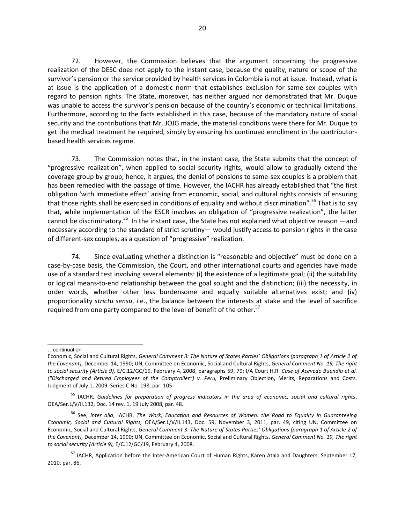72. However, the Commission believes that the argument concerning the progressive realization of the DESC does not apply to the instant case, because the quality, nature or scope of the survivor's pension or the service provided by health services in Colombia is not at issue. Instead, what is at issue is the application of a domestic norm that establishes exclusion for same-sex couples with regard to pension rights. The State, moreover, has neither argued nor demonstrated that Mr. Duque was unable to access the survivor's pension because of the country's economic or technical limitations. Furthermore, according to the facts established in this case, because of the mandatory nature of social security and the contributions that Mr. JOJG made, the material conditions were there for Mr. Duque to get the medical treatment he required, simply by ensuring his continued enrollment in the contributorbased health services regime.

73. The Commission notes that, in the instant case, the State submits that the concept of "progressive realization", when applied to social security rights, would allow to gradually extend the coverage group by group; hence, it argues, the denial of pensions to same-sex couples is a problem that has been remedied with the passage of time. However, the IACHR has already established that "the first obligation 'with immediate effect' arising from economic, social, and cultural rights consists of ensuring that those rights shall be exercised in conditions of equality and without discrimination".<sup>55</sup> That is to say that, while implementation of the ESCR involves an obligation of "progressive realization", the latter cannot be discriminatory.<sup>56</sup> In the instant case, the State has not explained what objective reason  $-$ and necessary according to the standard of strict scrutiny— would justify access to pension rights in the case of different-sex couples, as a question of "progressive" realization.

74. Since evaluating whether a distinction is "reasonable and objective" must be done on a case-by-case basis, the Commission, the Court, and other international courts and agencies have made use of a standard test involving several elements: (i) the existence of a legitimate goal; (ii) the suitability or logical means-to-end relationship between the goal sought and the distinction; (iii) the necessity, in order words, whether other less burdensome and equally suitable alternatives exist; and (iv) proportionality *strictu sensu*, i.e., the balance between the interests at stake and the level of sacrifice required from one party compared to the level of benefit of the other.<sup>57</sup>

l …continuation

Economic, Social and Cultural Rights, *General Comment 3: The Nature of States Parties' Obligations (paragraph 1 of Article 2 of the Covenant),* December 14, 1990; UN, Committee on Economic, Social and Cultural Rights, *General Comment No. 19, The right to social security (Article 9),* E/C.12/GC/19, February 4, 2008, paragraphs 59, 79; I/A Court H.R. *Case of Acevedo Buendía et al. ("Discharged and Retired Employees of the Comptroller") v. Peru,* Preliminary Objection, Merits, Reparations and Costs. Judgment of July 1, 2009. Series C No. 198, par. 105.

<sup>55</sup> IACHR, *Guidelines for preparation of progress indicators in the area of economic, social and cultural rights*, OEA/Ser.L/V/II.132, Doc. 14 rev. 1, 19 July 2008, par. 48.

<sup>56</sup> See, *inter alia*, IACHR, *The Work, Education and Resources of Women: the Road to Equality in Guaranteeing Economic, Social and Cultural Rights,* OEA/Ser.L/V/II.143, Doc. 59, November 3, 2011, par. 49, citing UN, Committee on Economic, Social and Cultural Rights, *General Comment 3: The Nature of States Parties' Obligations (paragraph 1 of Article 2 of the Covenant),* December 14, 1990; UN, Committee on Economic, Social and Cultural Rights, *General Comment No. 19, The right to social security (Article 9),* E/C.12/GC/19, February 4, 2008.

<sup>&</sup>lt;sup>57</sup> IACHR, Application before the Inter-American Court of Human Rights, Karen Atala and Daughters, September 17, 2010, par. 86.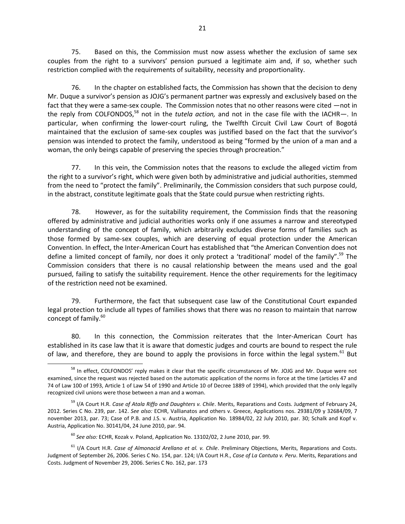75. Based on this, the Commission must now assess whether the exclusion of same sex couples from the right to a survivors' pension pursued a legitimate aim and, if so, whether such restriction complied with the requirements of suitability, necessity and proportionality.

76. In the chapter on established facts, the Commission has shown that the decision to deny Mr. Duque a survivor's pension as JOJG's permanent partner was expressly and exclusively based on the fact that they were a same-sex couple. The Commission notes that no other reasons were cited —not in the reply from COLFONDOS,<sup>58</sup> not in the *tutela action*, and not in the case file with the IACHR-. In particular, when confirming the lower-court ruling, the Twelfth Circuit Civil Law Court of Bogotá maintained that the exclusion of same-sex couples was justified based on the fact that the survivor's pension was intended to protect the family, understood as being "formed by the union of a man and a woman, the only beings capable of preserving the species through procreation."

77. In this vein, the Commission notes that the reasons to exclude the alleged victim from the right to a survivor's right, which were given both by administrative and judicial authorities, stemmed from the need to "protect the family". Preliminarily, the Commission considers that such purpose could, in the abstract, constitute legitimate goals that the State could pursue when restricting rights.

78. However, as for the suitability requirement, the Commission finds that the reasoning offered by administrative and judicial authorities works only if one assumes a narrow and stereotyped understanding of the concept of family, which arbitrarily excludes diverse forms of families such as those formed by same-sex couples, which are deserving of equal protection under the American Convention. In effect, the Inter-American Court has established that "the American Convention does not define a limited concept of family, nor does it only protect a 'traditional' model of the family".<sup>59</sup> The Commission considers that there is no causal relationship between the means used and the goal pursued, failing to satisfy the suitability requirement. Hence the other requirements for the legitimacy of the restriction need not be examined.

79. Furthermore, the fact that subsequent case law of the Constitutional Court expanded legal protection to include all types of families shows that there was no reason to maintain that narrow concept of family.<sup>60</sup>

80. In this connection, the Commission reiterates that the Inter-American Court has established in its case law that it is aware that domestic judges and courts are bound to respect the rule of law, and therefore, they are bound to apply the provisions in force within the legal system.<sup>61</sup> But

 $\overline{a}$ <sup>58</sup> In effect, COLFONDOS' reply makes it clear that the specific circumstances of Mr. JOJG and Mr. Duque were not examined, since the request was rejected based on the automatic application of the norms in force at the time (articles 47 and 74 of Law 100 of 1993, Article 1 of Law 54 of 1990 and Article 10 of Decree 1889 of 1994), which provided that the only legally recognized civil unions were those between a man and a woman.

<sup>59</sup> I/A Court H.R. *Case of Atala Riffo and Daughters v. Chile*. Merits, Reparations and Costs. Judgment of February 24, 2012. Series C No. 239, par. 142. *See also:* ECHR, Vallianatos and others v. Greece, Applications nos. 29381/09 y 32684/09, 7 november 2013, par. 73; Case of P.B. and J.S. v. Austria, Application No. 18984/02, 22 July 2010, par. 30; Schalk and Kopf v. Austria, Application No. 30141/04, 24 June 2010, par. 94.

<sup>60</sup> *See also:* ECHR, Kozak v. Poland, Application No. 13102/02, 2 June 2010, par. 99.

<sup>61</sup> I/A Court H.R. *Case of Almonacid Arellano et al. v. Chile*. Preliminary Objections, Merits, Reparations and Costs. Judgment of September 26, 2006. Series C No. 154, par. 124; I/A Court H.R., *Case of La Cantuta v. Peru*. Merits, Reparations and Costs. Judgment of November 29, 2006. Series C No. 162, par. 173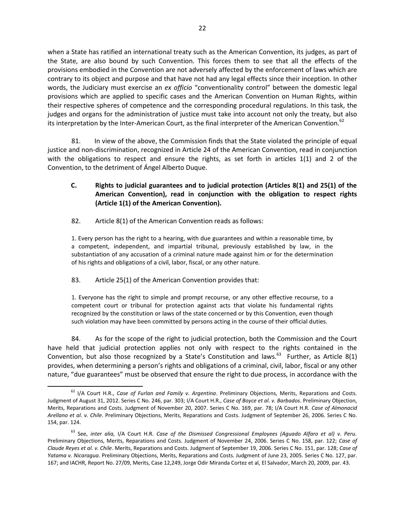when a State has ratified an international treaty such as the American Convention, its judges, as part of the State, are also bound by such Convention. This forces them to see that all the effects of the provisions embodied in the Convention are not adversely affected by the enforcement of laws which are contrary to its object and purpose and that have not had any legal effects since their inception. In other words, the Judiciary must exercise an *ex officio* "conventionality control" between the domestic legal provisions which are applied to specific cases and the American Convention on Human Rights, within their respective spheres of competence and the corresponding procedural regulations. In this task, the judges and organs for the administration of justice must take into account not only the treaty, but also its interpretation by the Inter-American Court, as the final interpreter of the American Convention.<sup>62</sup>

81. In view of the above, the Commission finds that the State violated the principle of equal justice and non-discrimination, recognized in Article 24 of the American Convention, read in conjunction with the obligations to respect and ensure the rights, as set forth in articles 1(1) and 2 of the Convention, to the detriment of Ángel Alberto Duque.

- **C. Rights to judicial guarantees and to judicial protection (Articles 8(1) and 25(1) of the American Convention), read in conjunction with the obligation to respect rights (Article 1(1) of the American Convention).**
- 82. Article 8(1) of the American Convention reads as follows:

1. Every person has the right to a hearing, with due guarantees and within a reasonable time, by a competent, independent, and impartial tribunal, previously established by law, in the substantiation of any accusation of a criminal nature made against him or for the determination of his rights and obligations of a civil, labor, fiscal, or any other nature.

83. Article 25(1) of the American Convention provides that:

1. Everyone has the right to simple and prompt recourse, or any other effective recourse, to a competent court or tribunal for protection against acts that violate his fundamental rights recognized by the constitution or laws of the state concerned or by this Convention, even though such violation may have been committed by persons acting in the course of their official duties.

84. As for the scope of the right to judicial protection, both the Commission and the Court have held that judicial protection applies not only with respect to the rights contained in the Convention, but also those recognized by a State's Constitution and laws. $^{63}$  Further, as Article 8(1) provides, when determining a person's rights and obligations of a criminal, civil, labor, fiscal or any other nature, "due guarantees" must be observed that ensure the right to due process, in accordance with the

<sup>62</sup> I/A Court H.R., *Case of Furlan and Family v. Argentina*. Preliminary Objections, Merits, Reparations and Costs. Judgment of August 31, 2012. Series C No. 246, par. 303; I/A Court H.R., *Case of Boyce et al. v. Barbados*. Preliminary Objection, Merits, Reparations and Costs. Judgment of November 20, 2007. Series C No. 169, par. 78; I/A Court H.R. *Case of Almonacid Arellano et al. v. Chile*. Preliminary Objections, Merits, Reparations and Costs. Judgment of September 26, 2006. Series C No. 154, par. 124.

<sup>63</sup> See, *inter alia,* I/A Court H.R. *Case of the Dismissed Congressional Employees (Aguado Alfaro et al) v. Peru.* Preliminary Objections, Merits, Reparations and Costs. Judgment of November 24, 2006. Series C No. 158, par. 122; *Case of Claude Reyes et al. v. Chile*. Merits, Reparations and Costs. Judgment of September 19, 2006. Series C No. 151, par. 128; *Case of Yatama v. Nicaragua*. Preliminary Objections, Merits, Reparations and Costs. Judgment of June 23, 2005. Series C No. 127, par. 167; and IACHR, Report No. 27/09, Merits, Case 12,249, Jorge Odir Miranda Cortez et al, El Salvador, March 20, 2009, par. 43.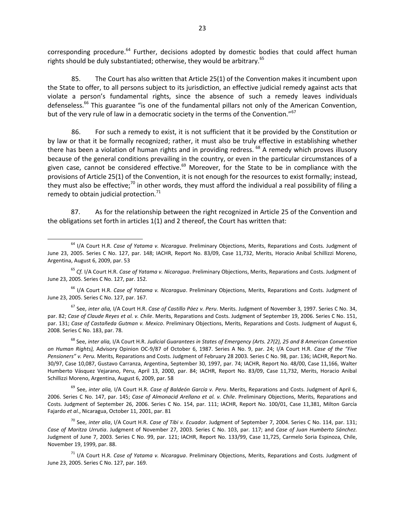corresponding procedure.<sup>64</sup> Further, decisions adopted by domestic bodies that could affect human rights should be duly substantiated; otherwise, they would be arbitrary.<sup>65</sup>

85. The Court has also written that Article 25(1) of the Convention makes it incumbent upon the State to offer, to all persons subject to its jurisdiction, an effective judicial remedy against acts that violate a person's fundamental rights, since the absence of such a remedy leaves individuals defenseless.<sup>66</sup> This guarantee "is one of the fundamental pillars not only of the American Convention, but of the very rule of law in a democratic society in the terms of the Convention."<sup>67</sup>

86. For such a remedy to exist, it is not sufficient that it be provided by the Constitution or by law or that it be formally recognized; rather, it must also be truly effective in establishing whether there has been a violation of human rights and in providing redress. <sup>68</sup> A remedy which proves illusory because of the general conditions prevailing in the country, or even in the particular circumstances of a given case, cannot be considered effective.<sup>69</sup> Moreover, for the State to be in compliance with the provisions of Article 25(1) of the Convention, it is not enough for the resources to exist formally; instead, they must also be effective;<sup>70</sup> in other words, they must afford the individual a real possibility of filing a remedy to obtain judicial protection. $71$ 

87. As for the relationship between the right recognized in Article 25 of the Convention and the obligations set forth in articles 1(1) and 2 thereof, the Court has written that:

<sup>69</sup> See, *inter alia,* I/A Court H.R. *Case of Baldeón García v. Peru*. Merits, Reparations and Costs. Judgment of April 6, 2006. Series C No. 147, par. 145; *Case of Almonacid Arellano et al. v. Chile*. Preliminary Objections, Merits, Reparations and Costs. Judgment of September 26, 2006. Series C No. 154, par. 111; IACHR, Report No. 100/01, Case 11,381, Milton García Fajardo *et al.*, Nicaragua, October 11, 2001, par. 81

<sup>70</sup> See, *inter alia*, I/A Court H.R. *Case of Tibi v. Ecuador*. Judgment of September 7, 2004. Series C No. 114, par. 131; *Case of Maritza Urrutia*. Judgment of November 27, 2003. Series C No. 103, par. 117; and *Case of Juan Humberto Sánchez.* Judgment of June 7, 2003. Series C No. 99, par. 121; IACHR, Report No. 133/99, Case 11,725, Carmelo Soria Espinoza, Chile, November 19, 1999, par. 88.

<sup>71</sup> I/A Court H.R. *Case of Yatama v. Nicaragua*. Preliminary Objections, Merits, Reparations and Costs. Judgment of June 23, 2005. Series C No. 127, par. 169.

<sup>64</sup> I/A Court H.R. *Case of Yatama v. Nicaragua*. Preliminary Objections, Merits, Reparations and Costs. Judgment of June 23, 2005. Series C No. 127, par. 148; IACHR, Report No. 83/09, Case 11,732, Merits, Horacio Anibal Schillizzi Moreno, Argentina, August 6, 2009, par. 53

<sup>65</sup> *Cf.* I/A Court H.R. *Case of Yatama v. Nicaragua*. Preliminary Objections, Merits, Reparations and Costs. Judgment of June 23, 2005. Series C No. 127, par. 152.

<sup>66</sup> I/A Court H.R. *Case of Yatama v. Nicaragua*. Preliminary Objections, Merits, Reparations and Costs. Judgment of June 23, 2005. Series C No. 127, par. 167.

<sup>67</sup> See, *inter alia,* I/A Court H.R. *Case of Castillo Páez v. Peru*. Merits. Judgment of November 3, 1997. Series C No. 34, par. 82; *Case of Claude Reyes et al. v. Chile*. Merits, Reparations and Costs. Judgment of September 19, 2006. Series C No. 151, par. 131; *Case of Castañeda Gutman v. Mexico*. Preliminary Objections, Merits, Reparations and Costs. Judgment of August 6, 2008. Series C No. 183, par. 78.

<sup>68</sup> See, *inter alia,* I/A Court H.R. *Judicial Guarantees in States of Emergency (Arts. 27(2), 25 and 8 American Convention on Human Rights),* Advisory Opinion OC-9/87 of October 6, 1987. Series A No. 9, par. 24; I/A Court H.R. *Case of the "Five Pensioners" v. Peru.* Merits, Reparations and Costs. Judgment of February 28 2003. Series C No. 98, par. 136; IACHR, Report No. 30/97, Case 10,087, Gustavo Carranza, Argentina, September 30, 1997, par. 74; IACHR, Report No. 48/00, Case 11,166, Walter Humberto Vásquez Vejarano, Peru, April 13, 2000, par. 84; IACHR, Report No. 83/09, Case 11,732, Merits, Horacio Anibal Schillizzi Moreno, Argentina, August 6, 2009, par. 58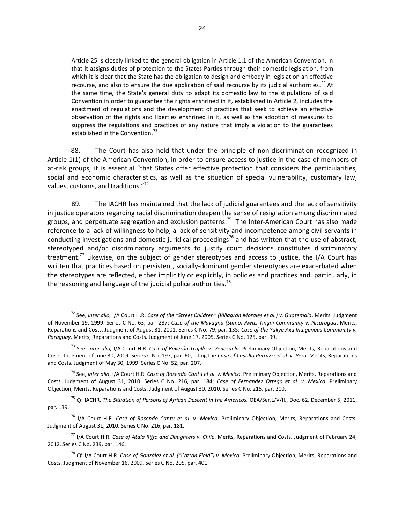Article 25 is closely linked to the general obligation in Article 1.1 of the American Convention, in that it assigns duties of protection to the States Parties through their domestic legislation, from which it is clear that the State has the obligation to design and embody in legislation an effective recourse, and also to ensure the due application of said recourse by its judicial authorities.<sup>72</sup> At the same time, the State's general duty to adapt its domestic law to the stipulations of said Convention in order to guarantee the rights enshrined in it, established in Article 2, includes the enactment of regulations and the development of practices that seek to achieve an effective observation of the rights and liberties enshrined in it, as well as the adoption of measures to suppress the regulations and practices of any nature that imply a violation to the guarantees established in the Convention.<sup>7</sup>

88. The Court has also held that under the principle of non-discrimination recognized in Article 1(1) of the American Convention, in order to ensure access to justice in the case of members of at-risk groups, it is essential "that States offer effective protection that considers the particularities, social and economic characteristics, as well as the situation of special vulnerability, customary law, values, customs, and traditions."<sup>74</sup>

89. The IACHR has maintained that the lack of judicial guarantees and the lack of sensitivity in justice operators regarding racial discrimination deepen the sense of resignation among discriminated groups, and perpetuate segregation and exclusion patterns.<sup>75</sup> The Inter-American Court has also made reference to a lack of willingness to help, a lack of sensitivity and incompetence among civil servants in conducting investigations and domestic juridical proceedings<sup>76</sup> and has written that the use of abstract, stereotyped and/or discriminatory arguments to justify court decisions constitutes discriminatory treatment.<sup>77</sup> Likewise, on the subject of gender stereotypes and access to justice, the I/A Court has written that practices based on persistent, socially-dominant gender stereotypes are exacerbated when the stereotypes are reflected, either implicitly or explicitly, in policies and practices and, particularly, in the reasoning and language of the judicial police authorities.<sup>78</sup>

 $\overline{a}$ 

<sup>72</sup> See, *inter alia,* I/A Court H.R. *Case of the "Street Children" (Villagrán Morales et al.) v. Guatemala*. Merits. Judgment of November 19, 1999. Series C No. 63, par. 237; *Case of the Mayagna (Sumo) Awas Tingni Community v. Nicaragua*. Merits, Reparations and Costs. Judgment of August 31, 2001. Series C No. 79, par. 135; *Case of the Yakye Axa Indigenous Community v. Paraguay.* Merits, Reparations and Costs. Judgment of June 17, 2005. Series C No. 125, par. 99.

<sup>73</sup> See, *inter alia,* I/A Court H.R. *Case of Reverón Trujillo v. Venezuela*. Preliminary Objection, Merits, Reparations and Costs. Judgment of June 30, 2009. Series C No. 197, par. 60, citing the *Case of Castillo Petruzzi et al. v. Peru.* Merits, Reparations and Costs. Judgment of May 30, 1999. Series C No. 52, par. 207.

<sup>74</sup> See, *inter alia*, I/A Court H.R. *Case of Rosendo Cantú et al. v. Mexico*. Preliminary Objection, Merits, Reparations and Costs. Judgment of August 31, 2010. Series C No. 216, par. 184; *Case of Fernández Ortega et al. v. Mexico*. Preliminary Objection, Merits, Reparations and Costs. Judgment of August 30, 2010. Series C No. 215, par. 200.

<sup>&</sup>lt;sup>75</sup> Cf. IACHR, The Situation of Persons of African Descent in the Americas, OEA/Ser.L/V/II., Doc. 62, December 5, 2011, par. 139.

<sup>76</sup> I/A Court H.R. *Case of Rosendo Cantú et al. v. Mexico.* Preliminary Objection, Merits, Reparations and Costs. Judgment of August 31, 2010. Series C No. 216, par. 181.

<sup>77</sup> I/A Court H.R. *Case of Atala Riffo and Daughters v. Chile*. Merits, Reparations and Costs. Judgment of February 24, 2012. Series C No. 239, par. 146.

<sup>78</sup> *Cf.* I/A Court H.R. *Case of González et al. ("Cotton Field") v. Mexico*. Preliminary Objection, Merits, Reparations and Costs. Judgment of November 16, 2009. Series C No. 205, par. 401.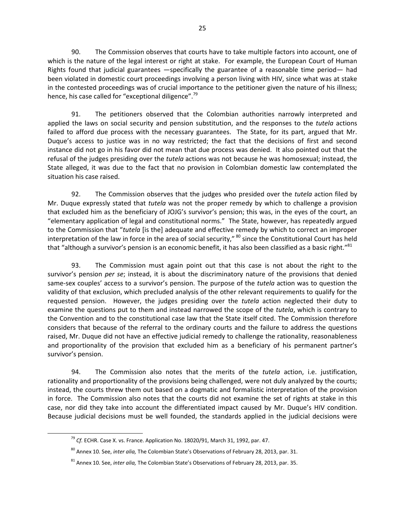90. The Commission observes that courts have to take multiple factors into account, one of which is the nature of the legal interest or right at stake. For example, the European Court of Human Rights found that judicial guarantees —specifically the guarantee of a reasonable time period— had been violated in domestic court proceedings involving a person living with HIV, since what was at stake in the contested proceedings was of crucial importance to the petitioner given the nature of his illness; hence, his case called for "exceptional diligence".<sup>79</sup>

91. The petitioners observed that the Colombian authorities narrowly interpreted and applied the laws on social security and pension substitution, and the responses to the *tutela* actions failed to afford due process with the necessary guarantees. The State, for its part, argued that Mr. Duque's access to justice was in no way restricted; the fact that the decisions of first and second instance did not go in his favor did not mean that due process was denied. It also pointed out that the refusal of the judges presiding over the *tutela* actions was not because he was homosexual; instead, the State alleged, it was due to the fact that no provision in Colombian domestic law contemplated the situation his case raised.

92. The Commission observes that the judges who presided over the *tutela* action filed by Mr. Duque expressly stated that *tutela* was not the proper remedy by which to challenge a provision that excluded him as the beneficiary of JOJG's survivor's pension; this was, in the eyes of the court, an "elementary application of legal and constitutional norms." The State, however, has repeatedly argued to the Commission that "*tutela* [is the] adequate and effective remedy by which to correct an improper interpretation of the law in force in the area of social security," <sup>80</sup> since the Constitutional Court has held that "although a survivor's pension is an economic benefit, it has also been classified as a basic right."<sup>81</sup>

93. The Commission must again point out that this case is not about the right to the survivor's pension *per se*; instead, it is about the discriminatory nature of the provisions that denied same-sex couples' access to a survivor's pension. The purpose of the *tutela* action was to question the validity of that exclusion, which precluded analysis of the other relevant requirements to qualify for the requested pension. However, the judges presiding over the *tutela* action neglected their duty to examine the questions put to them and instead narrowed the scope of the *tutela*, which is contrary to the Convention and to the constitutional case law that the State itself cited. The Commission therefore considers that because of the referral to the ordinary courts and the failure to address the questions raised, Mr. Duque did not have an effective judicial remedy to challenge the rationality, reasonableness and proportionality of the provision that excluded him as a beneficiary of his permanent partner's survivor's pension.

94. The Commission also notes that the merits of the *tutela* action, i.e. justification, rationality and proportionality of the provisions being challenged, were not duly analyzed by the courts; instead, the courts threw them out based on a dogmatic and formalistic interpretation of the provision in force. The Commission also notes that the courts did not examine the set of rights at stake in this case, nor did they take into account the differentiated impact caused by Mr. Duque's HIV condition. Because judicial decisions must be well founded, the standards applied in the judicial decisions were

<sup>79</sup> *Cf.* ECHR. Case X. vs. France. Application No. 18020/91, March 31, 1992, par. 47.

<sup>80</sup> Annex 10. See, *inter alia,* The Colombian State's Observations of February 28, 2013, par. 31.

<sup>81</sup> Annex 10. See, *inter alia,* The Colombian State's Observations of February 28, 2013, par. 35.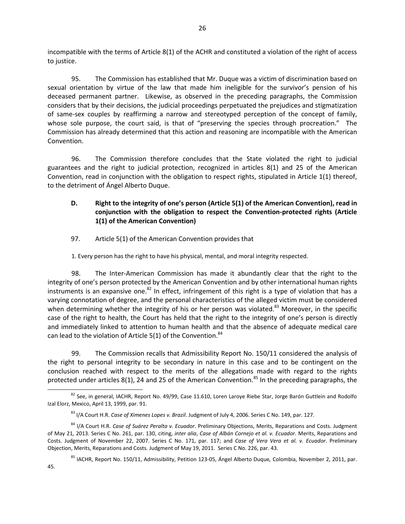incompatible with the terms of Article 8(1) of the ACHR and constituted a violation of the right of access to justice.

95. The Commission has established that Mr. Duque was a victim of discrimination based on sexual orientation by virtue of the law that made him ineligible for the survivor's pension of his deceased permanent partner. Likewise, as observed in the preceding paragraphs, the Commission considers that by their decisions, the judicial proceedings perpetuated the prejudices and stigmatization of same-sex couples by reaffirming a narrow and stereotyped perception of the concept of family, whose sole purpose, the court said, is that of "preserving the species through procreation." The Commission has already determined that this action and reasoning are incompatible with the American Convention.

96. The Commission therefore concludes that the State violated the right to judicial guarantees and the right to judicial protection, recognized in articles 8(1) and 25 of the American Convention, read in conjunction with the obligation to respect rights, stipulated in Article 1(1) thereof, to the detriment of Ángel Alberto Duque.

# **D. Right to the integrity of one's person (Article 5(1) of the American Convention), read in conjunction with the obligation to respect the Convention-protected rights (Article 1(1) of the American Convention)**

97. Article 5(1) of the American Convention provides that

1. Every person has the right to have his physical, mental, and moral integrity respected.

98. The Inter-American Commission has made it abundantly clear that the right to the integrity of one's person protected by the American Convention and by other international human rights instruments is an expansive one.<sup>82</sup> In effect, infringement of this right is a type of violation that has a varying connotation of degree, and the personal characteristics of the alleged victim must be considered when determining whether the integrity of his or her person was violated.<sup>83</sup> Moreover, in the specific case of the right to health, the Court has held that the right to the integrity of one's person is directly and immediately linked to attention to human health and that the absence of adequate medical care can lead to the violation of Article 5(1) of the Convention.<sup>84</sup>

99. The Commission recalls that Admissibility Report No. 150/11 considered the analysis of the right to personal integrity to be secondary in nature in this case and to be contingent on the conclusion reached with respect to the merits of the allegations made with regard to the rights protected under articles 8(1), 24 and 25 of the American Convention.<sup>85</sup> In the preceding paragraphs, the

<sup>82</sup> See, in general, IACHR, Report No. 49/99, Case 11.610, Loren Laroye Riebe Star, Jorge Barón Guttlein and Rodolfo Izal Elorz, Mexico, April 13, 1999, par. 91.

<sup>83</sup> I/A Court H.R. *Case of Ximenes Lopes v. Brazil*. Judgment of July 4, 2006. Series C No. 149, par. 127.

<sup>84</sup> I/A Court H.R. *Case of Suárez Peralta v. Ecuador*. Preliminary Objections, Merits, Reparations and Costs. Judgment of May 21, 2013. Series C No. 261, par. 130, citing, *inter alia*, *Case of Albán Cornejo et al. v. Ecuador*. Merits, Reparations and Costs. Judgment of November 22, 2007. Series C No. 171, par. 117; and *Case of Vera Vera et al. v. Ecuador*. Preliminary Objection, Merits, Reparations and Costs*.* Judgment of May 19, 2011. Series C No. 226, par. 43.

<sup>85</sup> IACHR, Report No. 150/11, Admissibility, Petition 123-05, Ángel Alberto Duque*,* Colombia, November 2, 2011, par. 45.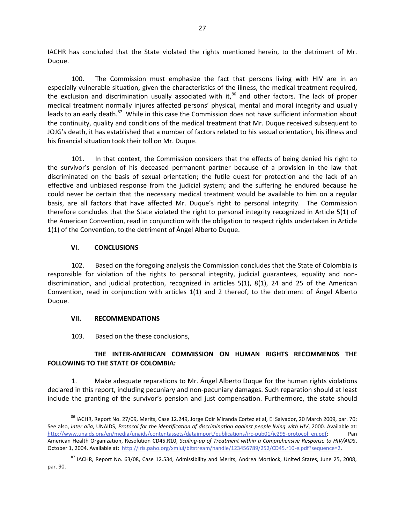IACHR has concluded that the State violated the rights mentioned herein, to the detriment of Mr. Duque.

100. The Commission must emphasize the fact that persons living with HIV are in an especially vulnerable situation, given the characteristics of the illness, the medical treatment required, the exclusion and discrimination usually associated with it, $86$  and other factors. The lack of proper medical treatment normally injures affected persons' physical, mental and moral integrity and usually leads to an early death.<sup>87</sup> While in this case the Commission does not have sufficient information about the continuity, quality and conditions of the medical treatment that Mr. Duque received subsequent to JOJG's death, it has established that a number of factors related to his sexual orientation, his illness and his financial situation took their toll on Mr. Duque.

101. In that context, the Commission considers that the effects of being denied his right to the survivor's pension of his deceased permanent partner because of a provision in the law that discriminated on the basis of sexual orientation; the futile quest for protection and the lack of an effective and unbiased response from the judicial system; and the suffering he endured because he could never be certain that the necessary medical treatment would be available to him on a regular basis, are all factors that have affected Mr. Duque's right to personal integrity. The Commission therefore concludes that the State violated the right to personal integrity recognized in Article 5(1) of the American Convention, read in conjunction with the obligation to respect rights undertaken in Article 1(1) of the Convention, to the detriment of Ángel Alberto Duque.

### **VI. CONCLUSIONS**

102. Based on the foregoing analysis the Commission concludes that the State of Colombia is responsible for violation of the rights to personal integrity, judicial guarantees, equality and nondiscrimination, and judicial protection, recognized in articles 5(1), 8(1), 24 and 25 of the American Convention, read in conjunction with articles 1(1) and 2 thereof, to the detriment of Ángel Alberto Duque.

### **VII. RECOMMENDATIONS**

103. Based on the these conclusions,

## **THE INTER-AMERICAN COMMISSION ON HUMAN RIGHTS RECOMMENDS THE FOLLOWING TO THE STATE OF COLOMBIA:**

1. Make adequate reparations to Mr. Ángel Alberto Duque for the human rights violations declared in this report, including pecuniary and non-pecuniary damages. Such reparation should at least include the granting of the survivor's pension and just compensation. Furthermore, the state should

<sup>86</sup> IACHR, Report No. 27/09, Merits, Case 12.249, Jorge Odir Miranda Cortez et al, El Salvador, 20 March 2009, par. 70; See also, *inter alia*, UNAIDS, *Protocol for the identification of discrimination against people living with HIV*, 2000. Available at: [http://www.unaids.org/en/media/unaids/contentassets/dataimport/publications/irc-pub01/jc295-protocol\\_en.pdf;](http://www.unaids.org/en/media/unaids/contentassets/dataimport/publications/irc-pub01/jc295-protocol_en.pdf) Pan American Health Organization, Resolution CD45.R10, *Scaling-up of Treatment within a Comprehensive Response to HIV/AIDS*, October 1, 2004. Available at: [http://iris.paho.org/xmlui/bitstream/handle/123456789/252/CD45.r10-e.pdf?sequence=2.](http://iris.paho.org/xmlui/bitstream/handle/123456789/252/CD45.r10-e.pdf?sequence=2)

<sup>&</sup>lt;sup>87</sup> IACHR, Report No. 63/08, Case 12.534, Admissibility and Merits, Andrea Mortlock, United States, June 25, 2008, par. 90.